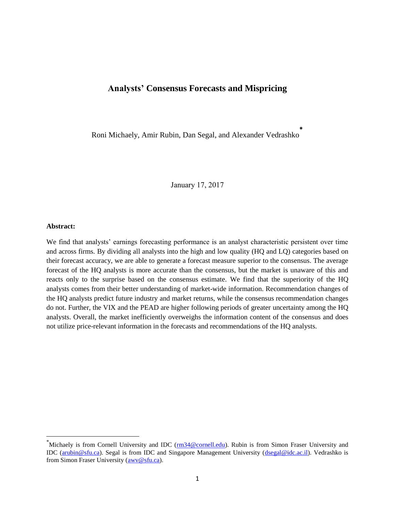# **Analysts' Consensus Forecasts and Mispricing**

Roni Michaely, Amir Rubin, Dan Segal, and Alexander Vedrashko **\***

January 17, 2017

#### **Abstract:**

 $\overline{a}$ 

We find that analysts' earnings forecasting performance is an analyst characteristic persistent over time and across firms. By dividing all analysts into the high and low quality (HQ and LQ) categories based on their forecast accuracy, we are able to generate a forecast measure superior to the consensus. The average forecast of the HQ analysts is more accurate than the consensus, but the market is unaware of this and reacts only to the surprise based on the consensus estimate. We find that the superiority of the HQ analysts comes from their better understanding of market-wide information. Recommendation changes of the HQ analysts predict future industry and market returns, while the consensus recommendation changes do not. Further, the VIX and the PEAD are higher following periods of greater uncertainty among the HQ analysts. Overall, the market inefficiently overweighs the information content of the consensus and does not utilize price-relevant information in the forecasts and recommendations of the HQ analysts.

<sup>&</sup>lt;sup>\*</sup>Michaely is from Cornell University and IDC ( $\frac{rm34@comell.edu)}{m}$ . Rubin is from Simon Fraser University and IDC [\(arubin@sfu.ca\)](mailto:arubin@sfu.ca). Segal is from IDC and Singapore Management University [\(dsegal@idc.ac.il\)](mailto:dsegal@idc.ac.il). Vedrashko is from Simon Fraser University [\(awv@sfu.ca\)](mailto:awv@sfu.ca).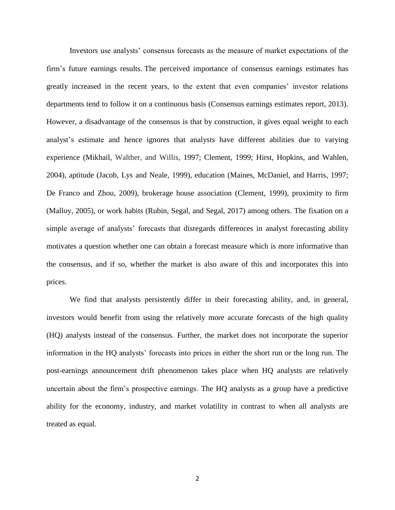Investors use analysts' consensus forecasts as the measure of market expectations of the firm's future earnings results. The perceived importance of consensus earnings estimates has greatly increased in the recent years, to the extent that even companies' investor relations departments tend to follow it on a continuous basis (Consensus earnings estimates report, 2013). However, a disadvantage of the consensus is that by construction, it gives equal weight to each analyst's estimate and hence ignores that analysts have different abilities due to varying experience (Mikhail, Walther, and Willis, 1997; Clement, 1999; Hirst, Hopkins, and Wahlen, 2004), aptitude (Jacob, Lys and Neale, 1999), education (Maines, McDaniel, and Harris, 1997; De Franco and Zhou, 2009), brokerage house association (Clement, 1999), proximity to firm (Malloy, 2005), or work habits (Rubin, Segal, and Segal, 2017) among others. The fixation on a simple average of analysts' forecasts that disregards differences in analyst forecasting ability motivates a question whether one can obtain a forecast measure which is more informative than the consensus, and if so, whether the market is also aware of this and incorporates this into prices.

We find that analysts persistently differ in their forecasting ability, and, in general, investors would benefit from using the relatively more accurate forecasts of the high quality (HQ) analysts instead of the consensus. Further, the market does not incorporate the superior information in the HQ analysts' forecasts into prices in either the short run or the long run. The post-earnings announcement drift phenomenon takes place when HQ analysts are relatively uncertain about the firm's prospective earnings. The HQ analysts as a group have a predictive ability for the economy, industry, and market volatility in contrast to when all analysts are treated as equal.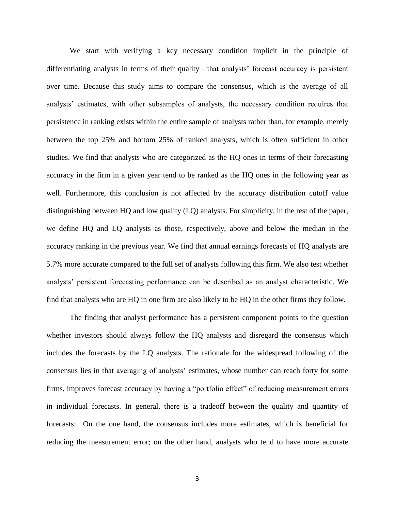We start with verifying a key necessary condition implicit in the principle of differentiating analysts in terms of their quality—that analysts' forecast accuracy is persistent over time. Because this study aims to compare the consensus, which is the average of all analysts' estimates, with other subsamples of analysts, the necessary condition requires that persistence in ranking exists within the entire sample of analysts rather than, for example, merely between the top 25% and bottom 25% of ranked analysts, which is often sufficient in other studies. We find that analysts who are categorized as the HQ ones in terms of their forecasting accuracy in the firm in a given year tend to be ranked as the HQ ones in the following year as well. Furthermore, this conclusion is not affected by the accuracy distribution cutoff value distinguishing between HQ and low quality (LQ) analysts. For simplicity, in the rest of the paper, we define HQ and LQ analysts as those, respectively, above and below the median in the accuracy ranking in the previous year. We find that annual earnings forecasts of HQ analysts are 5.7% more accurate compared to the full set of analysts following this firm. We also test whether analysts' persistent forecasting performance can be described as an analyst characteristic. We find that analysts who are HQ in one firm are also likely to be HQ in the other firms they follow.

The finding that analyst performance has a persistent component points to the question whether investors should always follow the HQ analysts and disregard the consensus which includes the forecasts by the LQ analysts. The rationale for the widespread following of the consensus lies in that averaging of analysts' estimates, whose number can reach forty for some firms, improves forecast accuracy by having a "portfolio effect" of reducing measurement errors in individual forecasts. In general, there is a tradeoff between the quality and quantity of forecasts: On the one hand, the consensus includes more estimates, which is beneficial for reducing the measurement error; on the other hand, analysts who tend to have more accurate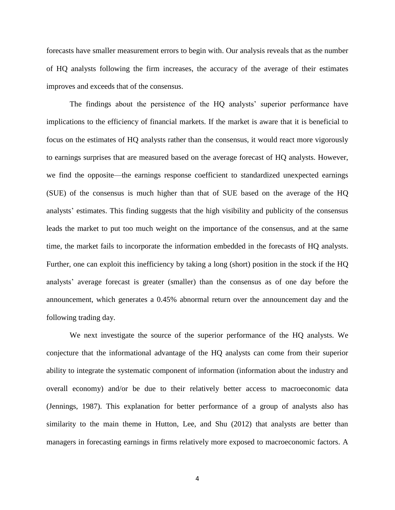forecasts have smaller measurement errors to begin with. Our analysis reveals that as the number of HQ analysts following the firm increases, the accuracy of the average of their estimates improves and exceeds that of the consensus.

The findings about the persistence of the HQ analysts' superior performance have implications to the efficiency of financial markets. If the market is aware that it is beneficial to focus on the estimates of HQ analysts rather than the consensus, it would react more vigorously to earnings surprises that are measured based on the average forecast of HQ analysts. However, we find the opposite—the earnings response coefficient to standardized unexpected earnings (SUE) of the consensus is much higher than that of SUE based on the average of the HQ analysts' estimates. This finding suggests that the high visibility and publicity of the consensus leads the market to put too much weight on the importance of the consensus, and at the same time, the market fails to incorporate the information embedded in the forecasts of HQ analysts. Further, one can exploit this inefficiency by taking a long (short) position in the stock if the HQ analysts' average forecast is greater (smaller) than the consensus as of one day before the announcement, which generates a 0.45% abnormal return over the announcement day and the following trading day.

We next investigate the source of the superior performance of the HQ analysts. We conjecture that the informational advantage of the HQ analysts can come from their superior ability to integrate the systematic component of information (information about the industry and overall economy) and/or be due to their relatively better access to macroeconomic data (Jennings, 1987). This explanation for better performance of a group of analysts also has similarity to the main theme in Hutton, Lee, and Shu (2012) that analysts are better than managers in forecasting earnings in firms relatively more exposed to macroeconomic factors. A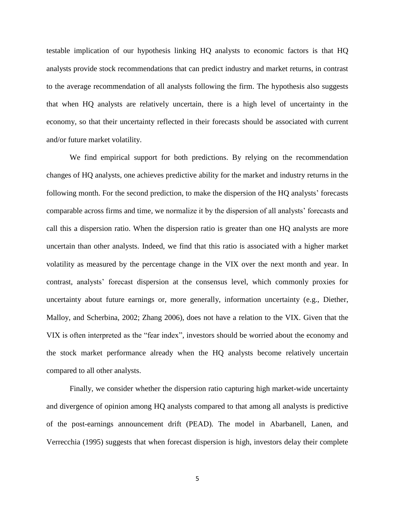testable implication of our hypothesis linking HQ analysts to economic factors is that HQ analysts provide stock recommendations that can predict industry and market returns, in contrast to the average recommendation of all analysts following the firm. The hypothesis also suggests that when HQ analysts are relatively uncertain, there is a high level of uncertainty in the economy, so that their uncertainty reflected in their forecasts should be associated with current and/or future market volatility.

We find empirical support for both predictions. By relying on the recommendation changes of HQ analysts, one achieves predictive ability for the market and industry returns in the following month. For the second prediction, to make the dispersion of the HQ analysts' forecasts comparable across firms and time, we normalize it by the dispersion of all analysts' forecasts and call this a dispersion ratio. When the dispersion ratio is greater than one HQ analysts are more uncertain than other analysts. Indeed, we find that this ratio is associated with a higher market volatility as measured by the percentage change in the VIX over the next month and year. In contrast, analysts' forecast dispersion at the consensus level, which commonly proxies for uncertainty about future earnings or, more generally, information uncertainty (e.g., Diether, Malloy, and Scherbina, 2002; Zhang 2006), does not have a relation to the VIX. Given that the VIX is often interpreted as the "fear index", investors should be worried about the economy and the stock market performance already when the HQ analysts become relatively uncertain compared to all other analysts.

Finally, we consider whether the dispersion ratio capturing high market-wide uncertainty and divergence of opinion among HQ analysts compared to that among all analysts is predictive of the post-earnings announcement drift (PEAD). The model in Abarbanell, Lanen, and Verrecchia (1995) suggests that when forecast dispersion is high, investors delay their complete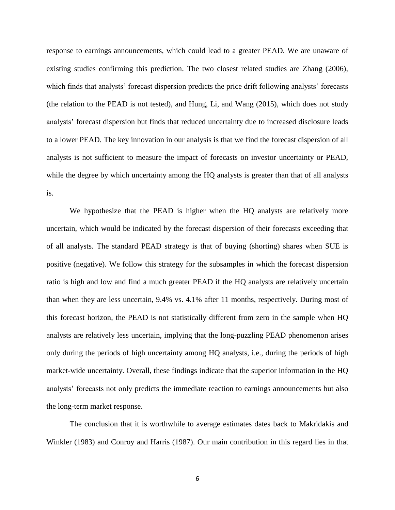response to earnings announcements, which could lead to a greater PEAD. We are unaware of existing studies confirming this prediction. The two closest related studies are Zhang (2006), which finds that analysts' forecast dispersion predicts the price drift following analysts' forecasts (the relation to the PEAD is not tested), and Hung, Li, and Wang (2015), which does not study analysts' forecast dispersion but finds that reduced uncertainty due to increased disclosure leads to a lower PEAD. The key innovation in our analysis is that we find the forecast dispersion of all analysts is not sufficient to measure the impact of forecasts on investor uncertainty or PEAD, while the degree by which uncertainty among the HQ analysts is greater than that of all analysts is.

We hypothesize that the PEAD is higher when the HQ analysts are relatively more uncertain, which would be indicated by the forecast dispersion of their forecasts exceeding that of all analysts. The standard PEAD strategy is that of buying (shorting) shares when SUE is positive (negative). We follow this strategy for the subsamples in which the forecast dispersion ratio is high and low and find a much greater PEAD if the HQ analysts are relatively uncertain than when they are less uncertain, 9.4% vs. 4.1% after 11 months, respectively. During most of this forecast horizon, the PEAD is not statistically different from zero in the sample when HQ analysts are relatively less uncertain, implying that the long-puzzling PEAD phenomenon arises only during the periods of high uncertainty among HQ analysts, i.e., during the periods of high market-wide uncertainty. Overall, these findings indicate that the superior information in the HQ analysts' forecasts not only predicts the immediate reaction to earnings announcements but also the long-term market response.

The conclusion that it is worthwhile to average estimates dates back to Makridakis and Winkler (1983) and Conroy and Harris (1987). Our main contribution in this regard lies in that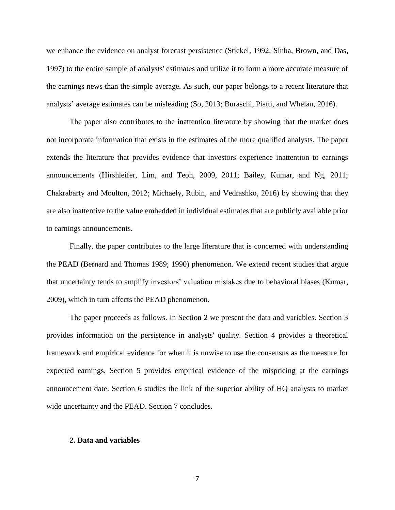we enhance the evidence on analyst forecast persistence (Stickel, 1992; Sinha, Brown, and Das, 1997) to the entire sample of analysts' estimates and utilize it to form a more accurate measure of the earnings news than the simple average. As such, our paper belongs to a recent literature that analysts' average estimates can be misleading (So, 2013; Buraschi, Piatti, and Whelan, 2016).

The paper also contributes to the inattention literature by showing that the market does not incorporate information that exists in the estimates of the more qualified analysts. The paper extends the literature that provides evidence that investors experience inattention to earnings announcements (Hirshleifer, Lim, and Teoh, 2009, 2011; Bailey, Kumar, and Ng, 2011; Chakrabarty and Moulton, 2012; Michaely, Rubin, and Vedrashko, 2016) by showing that they are also inattentive to the value embedded in individual estimates that are publicly available prior to earnings announcements.

Finally, the paper contributes to the large literature that is concerned with understanding the PEAD (Bernard and Thomas 1989; 1990) phenomenon. We extend recent studies that argue that uncertainty tends to amplify investors' valuation mistakes due to behavioral biases (Kumar, 2009), which in turn affects the PEAD phenomenon.

The paper proceeds as follows. In Section 2 we present the data and variables. Section 3 provides information on the persistence in analysts' quality. Section 4 provides a theoretical framework and empirical evidence for when it is unwise to use the consensus as the measure for expected earnings. Section 5 provides empirical evidence of the mispricing at the earnings announcement date. Section 6 studies the link of the superior ability of HQ analysts to market wide uncertainty and the PEAD. Section 7 concludes.

#### **2. Data and variables**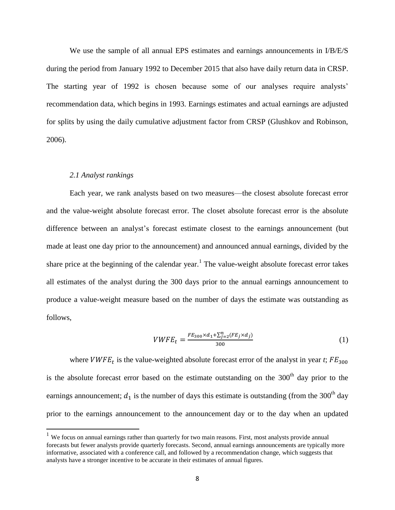We use the sample of all annual EPS estimates and earnings announcements in  $I/B/E/S$ during the period from January 1992 to December 2015 that also have daily return data in CRSP. The starting year of 1992 is chosen because some of our analyses require analysts' recommendation data, which begins in 1993. Earnings estimates and actual earnings are adjusted for splits by using the daily cumulative adjustment factor from CRSP (Glushkov and Robinson, 2006).

#### *2.1 Analyst rankings*

 $\overline{\phantom{a}}$ 

Each year, we rank analysts based on two measures—the closest absolute forecast error and the value-weight absolute forecast error. The closet absolute forecast error is the absolute difference between an analyst's forecast estimate closest to the earnings announcement (but made at least one day prior to the announcement) and announced annual earnings, divided by the share price at the beginning of the calendar year.<sup>1</sup> The value-weight absolute forecast error takes all estimates of the analyst during the 300 days prior to the annual earnings announcement to produce a value-weight measure based on the number of days the estimate was outstanding as follows,

$$
VWFE_t = \frac{FE_{300} \times d_1 + \sum_{j=2}^{n} (FE_j \times d_j)}{300}
$$
 (1)

where  $VWFE_t$  is the value-weighted absolute forecast error of the analyst in year *t*;  $FE_{300}$ is the absolute forecast error based on the estimate outstanding on the  $300<sup>th</sup>$  day prior to the earnings announcement;  $d_1$  is the number of days this estimate is outstanding (from the 300<sup>th</sup> day prior to the earnings announcement to the announcement day or to the day when an updated

<sup>&</sup>lt;sup>1</sup> We focus on annual earnings rather than quarterly for two main reasons. First, most analysts provide annual forecasts but fewer analysts provide quarterly forecasts. Second, annual earnings announcements are typically more informative, associated with a conference call, and followed by a recommendation change, which suggests that analysts have a stronger incentive to be accurate in their estimates of annual figures.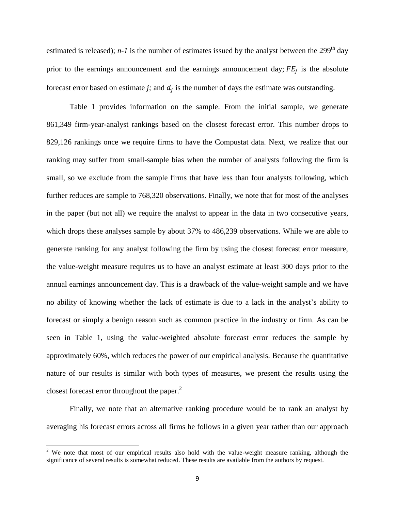estimated is released);  $n-1$  is the number of estimates issued by the analyst between the 299<sup>th</sup> day prior to the earnings announcement and the earnings announcement day;  $FE_j$  is the absolute forecast error based on estimate  $j$ ; and  $d_j$  is the number of days the estimate was outstanding.

Table 1 provides information on the sample. From the initial sample, we generate 861,349 firm-year-analyst rankings based on the closest forecast error. This number drops to 829,126 rankings once we require firms to have the Compustat data. Next, we realize that our ranking may suffer from small-sample bias when the number of analysts following the firm is small, so we exclude from the sample firms that have less than four analysts following, which further reduces are sample to 768,320 observations. Finally, we note that for most of the analyses in the paper (but not all) we require the analyst to appear in the data in two consecutive years, which drops these analyses sample by about 37% to 486,239 observations. While we are able to generate ranking for any analyst following the firm by using the closest forecast error measure, the value-weight measure requires us to have an analyst estimate at least 300 days prior to the annual earnings announcement day. This is a drawback of the value-weight sample and we have no ability of knowing whether the lack of estimate is due to a lack in the analyst's ability to forecast or simply a benign reason such as common practice in the industry or firm. As can be seen in Table 1, using the value-weighted absolute forecast error reduces the sample by approximately 60%, which reduces the power of our empirical analysis. Because the quantitative nature of our results is similar with both types of measures, we present the results using the closest forecast error throughout the paper.<sup>2</sup>

Finally, we note that an alternative ranking procedure would be to rank an analyst by averaging his forecast errors across all firms he follows in a given year rather than our approach

 $\overline{\phantom{a}}$ 

<sup>&</sup>lt;sup>2</sup> We note that most of our empirical results also hold with the value-weight measure ranking, although the significance of several results is somewhat reduced. These results are available from the authors by request.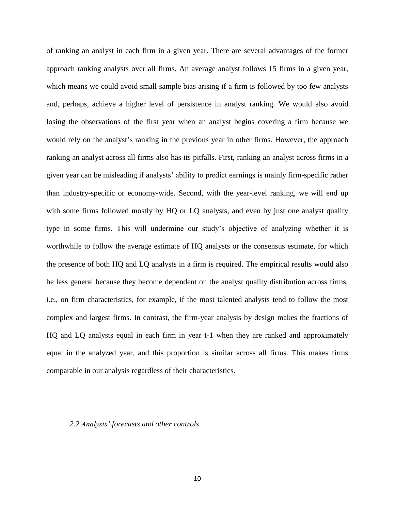of ranking an analyst in each firm in a given year. There are several advantages of the former approach ranking analysts over all firms. An average analyst follows 15 firms in a given year, which means we could avoid small sample bias arising if a firm is followed by too few analysts and, perhaps, achieve a higher level of persistence in analyst ranking. We would also avoid losing the observations of the first year when an analyst begins covering a firm because we would rely on the analyst's ranking in the previous year in other firms. However, the approach ranking an analyst across all firms also has its pitfalls. First, ranking an analyst across firms in a given year can be misleading if analysts' ability to predict earnings is mainly firm-specific rather than industry-specific or economy-wide. Second, with the year-level ranking, we will end up with some firms followed mostly by HQ or LQ analysts, and even by just one analyst quality type in some firms. This will undermine our study's objective of analyzing whether it is worthwhile to follow the average estimate of HQ analysts or the consensus estimate, for which the presence of both HQ and LQ analysts in a firm is required. The empirical results would also be less general because they become dependent on the analyst quality distribution across firms, i.e., on firm characteristics, for example, if the most talented analysts tend to follow the most complex and largest firms. In contrast, the firm-year analysis by design makes the fractions of HQ and LQ analysts equal in each firm in year t-1 when they are ranked and approximately equal in the analyzed year, and this proportion is similar across all firms. This makes firms comparable in our analysis regardless of their characteristics.

#### *2.2 Analysts' forecasts and other controls*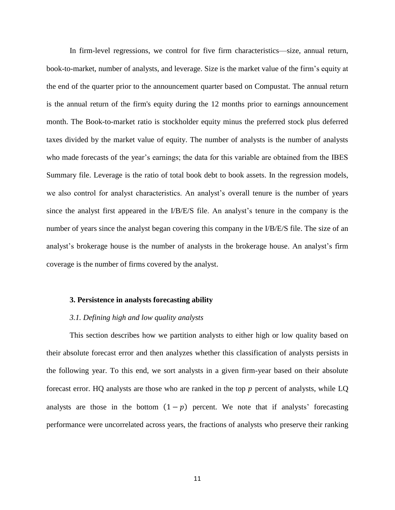In firm-level regressions, we control for five firm characteristics—size, annual return, book-to-market, number of analysts, and leverage. Size is the market value of the firm's equity at the end of the quarter prior to the announcement quarter based on Compustat. The annual return is the annual return of the firm's equity during the 12 months prior to earnings announcement month. The Book-to-market ratio is stockholder equity minus the preferred stock plus deferred taxes divided by the market value of equity. The number of analysts is the number of analysts who made forecasts of the year's earnings; the data for this variable are obtained from the IBES Summary file. Leverage is the ratio of total book debt to book assets. In the regression models, we also control for analyst characteristics. An analyst's overall tenure is the number of years since the analyst first appeared in the I/B/E/S file. An analyst's tenure in the company is the number of years since the analyst began covering this company in the I/B/E/S file. The size of an analyst's brokerage house is the number of analysts in the brokerage house. An analyst's firm coverage is the number of firms covered by the analyst.

## **3. Persistence in analysts forecasting ability**

#### *3.1. Defining high and low quality analysts*

This section describes how we partition analysts to either high or low quality based on their absolute forecast error and then analyzes whether this classification of analysts persists in the following year. To this end, we sort analysts in a given firm-year based on their absolute forecast error. HQ analysts are those who are ranked in the top  $p$  percent of analysts, while LQ analysts are those in the bottom  $(1 - p)$  percent. We note that if analysts' forecasting performance were uncorrelated across years, the fractions of analysts who preserve their ranking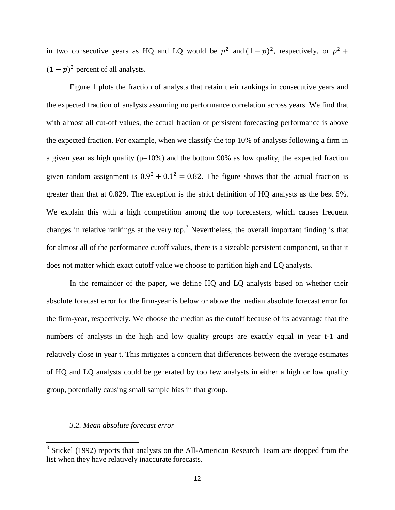in two consecutive years as HQ and LQ would be  $p^2$  and  $(1-p)^2$ , respectively, or  $p^2$  +  $(1-p)^2$  percent of all analysts.

Figure 1 plots the fraction of analysts that retain their rankings in consecutive years and the expected fraction of analysts assuming no performance correlation across years. We find that with almost all cut-off values, the actual fraction of persistent forecasting performance is above the expected fraction. For example, when we classify the top 10% of analysts following a firm in a given year as high quality ( $p=10\%$ ) and the bottom 90% as low quality, the expected fraction given random assignment is  $0.9^2 + 0.1^2 = 0.82$ . The figure shows that the actual fraction is greater than that at 0.829. The exception is the strict definition of HQ analysts as the best 5%. We explain this with a high competition among the top forecasters, which causes frequent changes in relative rankings at the very top.<sup>3</sup> Nevertheless, the overall important finding is that for almost all of the performance cutoff values, there is a sizeable persistent component, so that it does not matter which exact cutoff value we choose to partition high and LQ analysts.

In the remainder of the paper, we define HQ and LQ analysts based on whether their absolute forecast error for the firm-year is below or above the median absolute forecast error for the firm-year, respectively. We choose the median as the cutoff because of its advantage that the numbers of analysts in the high and low quality groups are exactly equal in year t-1 and relatively close in year t. This mitigates a concern that differences between the average estimates of HQ and LQ analysts could be generated by too few analysts in either a high or low quality group, potentially causing small sample bias in that group.

## *3.2. Mean absolute forecast error*

<sup>&</sup>lt;sup>3</sup> Stickel (1992) reports that analysts on the All-American Research Team are dropped from the list when they have relatively inaccurate forecasts.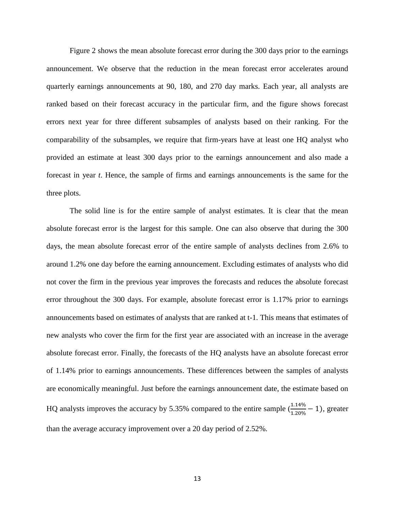Figure 2 shows the mean absolute forecast error during the 300 days prior to the earnings announcement. We observe that the reduction in the mean forecast error accelerates around quarterly earnings announcements at 90, 180, and 270 day marks. Each year, all analysts are ranked based on their forecast accuracy in the particular firm, and the figure shows forecast errors next year for three different subsamples of analysts based on their ranking. For the comparability of the subsamples, we require that firm-years have at least one HQ analyst who provided an estimate at least 300 days prior to the earnings announcement and also made a forecast in year *t*. Hence, the sample of firms and earnings announcements is the same for the three plots.

The solid line is for the entire sample of analyst estimates. It is clear that the mean absolute forecast error is the largest for this sample. One can also observe that during the 300 days, the mean absolute forecast error of the entire sample of analysts declines from 2.6% to around 1.2% one day before the earning announcement. Excluding estimates of analysts who did not cover the firm in the previous year improves the forecasts and reduces the absolute forecast error throughout the 300 days. For example, absolute forecast error is 1.17% prior to earnings announcements based on estimates of analysts that are ranked at t-1. This means that estimates of new analysts who cover the firm for the first year are associated with an increase in the average absolute forecast error. Finally, the forecasts of the HQ analysts have an absolute forecast error of 1.14% prior to earnings announcements. These differences between the samples of analysts are economically meaningful. Just before the earnings announcement date, the estimate based on HQ analysts improves the accuracy by 5.35% compared to the entire sample  $(\frac{1.14\%}{1.20\%} - 1)$ , greater than the average accuracy improvement over a 20 day period of 2.52%.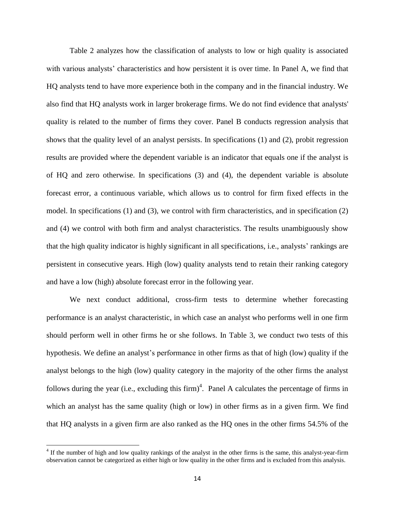Table 2 analyzes how the classification of analysts to low or high quality is associated with various analysts' characteristics and how persistent it is over time. In Panel A, we find that HQ analysts tend to have more experience both in the company and in the financial industry. We also find that HQ analysts work in larger brokerage firms. We do not find evidence that analysts' quality is related to the number of firms they cover. Panel B conducts regression analysis that shows that the quality level of an analyst persists. In specifications (1) and (2), probit regression results are provided where the dependent variable is an indicator that equals one if the analyst is of HQ and zero otherwise. In specifications (3) and (4), the dependent variable is absolute forecast error, a continuous variable, which allows us to control for firm fixed effects in the model. In specifications (1) and (3), we control with firm characteristics, and in specification (2) and (4) we control with both firm and analyst characteristics. The results unambiguously show that the high quality indicator is highly significant in all specifications, i.e., analysts' rankings are persistent in consecutive years. High (low) quality analysts tend to retain their ranking category and have a low (high) absolute forecast error in the following year.

We next conduct additional, cross-firm tests to determine whether forecasting performance is an analyst characteristic, in which case an analyst who performs well in one firm should perform well in other firms he or she follows. In Table 3, we conduct two tests of this hypothesis. We define an analyst's performance in other firms as that of high (low) quality if the analyst belongs to the high (low) quality category in the majority of the other firms the analyst follows during the year (i.e., excluding this firm)<sup>4</sup>. Panel A calculates the percentage of firms in which an analyst has the same quality (high or low) in other firms as in a given firm. We find that HQ analysts in a given firm are also ranked as the HQ ones in the other firms 54.5% of the

 $\overline{\phantom{a}}$ 

 $4$  If the number of high and low quality rankings of the analyst in the other firms is the same, this analyst-year-firm observation cannot be categorized as either high or low quality in the other firms and is excluded from this analysis.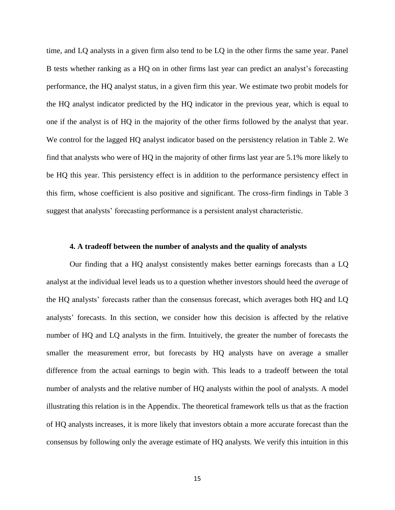time, and LQ analysts in a given firm also tend to be LQ in the other firms the same year. Panel B tests whether ranking as a HQ on in other firms last year can predict an analyst's forecasting performance, the HQ analyst status, in a given firm this year. We estimate two probit models for the HQ analyst indicator predicted by the HQ indicator in the previous year, which is equal to one if the analyst is of HQ in the majority of the other firms followed by the analyst that year. We control for the lagged HQ analyst indicator based on the persistency relation in Table 2. We find that analysts who were of HQ in the majority of other firms last year are 5.1% more likely to be HQ this year. This persistency effect is in addition to the performance persistency effect in this firm, whose coefficient is also positive and significant. The cross-firm findings in Table 3 suggest that analysts' forecasting performance is a persistent analyst characteristic.

## **4. A tradeoff between the number of analysts and the quality of analysts**

Our finding that a HQ analyst consistently makes better earnings forecasts than a LQ analyst at the individual level leads us to a question whether investors should heed the *average* of the HQ analysts' forecasts rather than the consensus forecast, which averages both HQ and LQ analysts' forecasts. In this section, we consider how this decision is affected by the relative number of HQ and LQ analysts in the firm. Intuitively, the greater the number of forecasts the smaller the measurement error, but forecasts by HQ analysts have on average a smaller difference from the actual earnings to begin with. This leads to a tradeoff between the total number of analysts and the relative number of HQ analysts within the pool of analysts. A model illustrating this relation is in the Appendix. The theoretical framework tells us that as the fraction of HQ analysts increases, it is more likely that investors obtain a more accurate forecast than the consensus by following only the average estimate of HQ analysts. We verify this intuition in this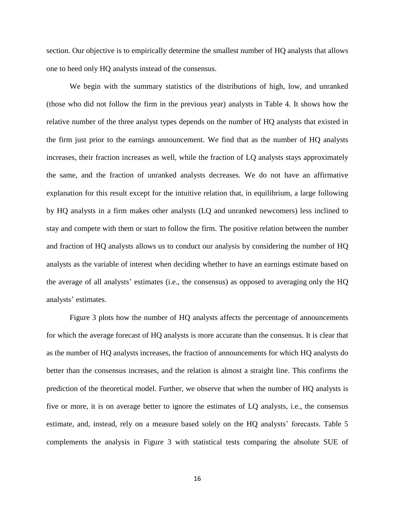section. Our objective is to empirically determine the smallest number of HQ analysts that allows one to heed only HQ analysts instead of the consensus.

We begin with the summary statistics of the distributions of high, low, and unranked (those who did not follow the firm in the previous year) analysts in Table 4. It shows how the relative number of the three analyst types depends on the number of HQ analysts that existed in the firm just prior to the earnings announcement. We find that as the number of HQ analysts increases, their fraction increases as well, while the fraction of LQ analysts stays approximately the same, and the fraction of unranked analysts decreases. We do not have an affirmative explanation for this result except for the intuitive relation that, in equilibrium, a large following by HQ analysts in a firm makes other analysts (LQ and unranked newcomers) less inclined to stay and compete with them or start to follow the firm. The positive relation between the number and fraction of HQ analysts allows us to conduct our analysis by considering the number of HQ analysts as the variable of interest when deciding whether to have an earnings estimate based on the average of all analysts' estimates (i.e., the consensus) as opposed to averaging only the HQ analysts' estimates.

Figure 3 plots how the number of HQ analysts affects the percentage of announcements for which the average forecast of HQ analysts is more accurate than the consensus. It is clear that as the number of HQ analysts increases, the fraction of announcements for which HQ analysts do better than the consensus increases, and the relation is almost a straight line. This confirms the prediction of the theoretical model. Further, we observe that when the number of HQ analysts is five or more, it is on average better to ignore the estimates of LQ analysts, i.e., the consensus estimate, and, instead, rely on a measure based solely on the HQ analysts' forecasts. Table 5 complements the analysis in Figure 3 with statistical tests comparing the absolute SUE of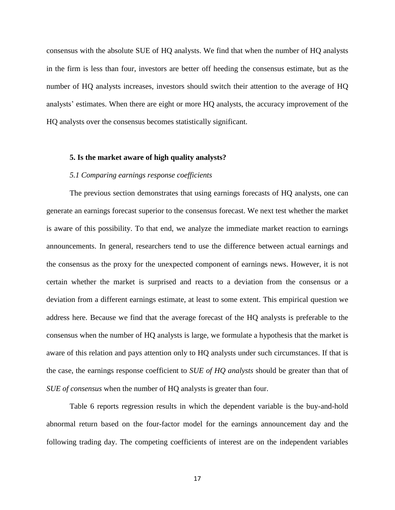consensus with the absolute SUE of HQ analysts. We find that when the number of HQ analysts in the firm is less than four, investors are better off heeding the consensus estimate, but as the number of HQ analysts increases, investors should switch their attention to the average of HQ analysts' estimates. When there are eight or more HQ analysts, the accuracy improvement of the HQ analysts over the consensus becomes statistically significant.

### **5. Is the market aware of high quality analysts?**

#### *5.1 Comparing earnings response coefficients*

The previous section demonstrates that using earnings forecasts of HQ analysts, one can generate an earnings forecast superior to the consensus forecast. We next test whether the market is aware of this possibility. To that end, we analyze the immediate market reaction to earnings announcements. In general, researchers tend to use the difference between actual earnings and the consensus as the proxy for the unexpected component of earnings news. However, it is not certain whether the market is surprised and reacts to a deviation from the consensus or a deviation from a different earnings estimate, at least to some extent. This empirical question we address here. Because we find that the average forecast of the HQ analysts is preferable to the consensus when the number of HQ analysts is large, we formulate a hypothesis that the market is aware of this relation and pays attention only to HQ analysts under such circumstances. If that is the case, the earnings response coefficient to *SUE of HQ analysts* should be greater than that of *SUE of consensus* when the number of HQ analysts is greater than four.

Table 6 reports regression results in which the dependent variable is the buy-and-hold abnormal return based on the four-factor model for the earnings announcement day and the following trading day. The competing coefficients of interest are on the independent variables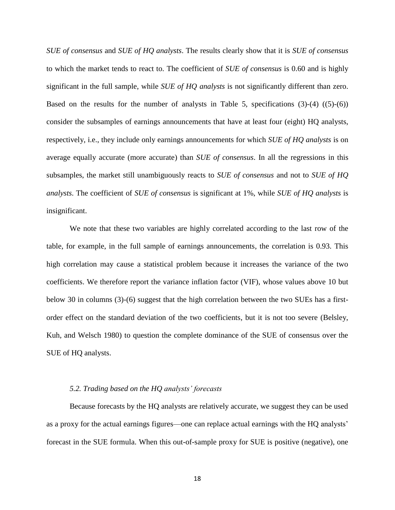*SUE of consensus* and *SUE of HQ analysts*. The results clearly show that it is *SUE of consensus* to which the market tends to react to. The coefficient of *SUE of consensus* is 0.60 and is highly significant in the full sample, while *SUE of HQ analysts* is not significantly different than zero. Based on the results for the number of analysts in Table 5, specifications  $(3)-(4)$   $((5)-(6))$ consider the subsamples of earnings announcements that have at least four (eight) HQ analysts, respectively, i.e., they include only earnings announcements for which *SUE of HQ analysts* is on average equally accurate (more accurate) than *SUE of consensus*. In all the regressions in this subsamples, the market still unambiguously reacts to *SUE of consensus* and not to *SUE of HQ analysts*. The coefficient of *SUE of consensus* is significant at 1%, while *SUE of HQ analysts* is insignificant.

We note that these two variables are highly correlated according to the last row of the table, for example, in the full sample of earnings announcements, the correlation is 0.93. This high correlation may cause a statistical problem because it increases the variance of the two coefficients. We therefore report the variance inflation factor (VIF), whose values above 10 but below 30 in columns (3)-(6) suggest that the high correlation between the two SUEs has a firstorder effect on the standard deviation of the two coefficients, but it is not too severe (Belsley, Kuh, and Welsch 1980) to question the complete dominance of the SUE of consensus over the SUE of HQ analysts.

#### *5.2. Trading based on the HQ analysts' forecasts*

Because forecasts by the HQ analysts are relatively accurate, we suggest they can be used as a proxy for the actual earnings figures—one can replace actual earnings with the HQ analysts' forecast in the SUE formula. When this out-of-sample proxy for SUE is positive (negative), one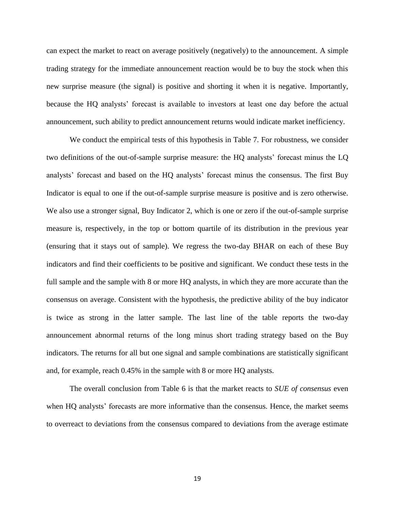can expect the market to react on average positively (negatively) to the announcement. A simple trading strategy for the immediate announcement reaction would be to buy the stock when this new surprise measure (the signal) is positive and shorting it when it is negative. Importantly, because the HQ analysts' forecast is available to investors at least one day before the actual announcement, such ability to predict announcement returns would indicate market inefficiency.

We conduct the empirical tests of this hypothesis in Table 7. For robustness, we consider two definitions of the out-of-sample surprise measure: the HQ analysts' forecast minus the LQ analysts' forecast and based on the HQ analysts' forecast minus the consensus. The first Buy Indicator is equal to one if the out-of-sample surprise measure is positive and is zero otherwise. We also use a stronger signal, Buy Indicator 2, which is one or zero if the out-of-sample surprise measure is, respectively, in the top or bottom quartile of its distribution in the previous year (ensuring that it stays out of sample). We regress the two-day BHAR on each of these Buy indicators and find their coefficients to be positive and significant. We conduct these tests in the full sample and the sample with 8 or more HQ analysts, in which they are more accurate than the consensus on average. Consistent with the hypothesis, the predictive ability of the buy indicator is twice as strong in the latter sample. The last line of the table reports the two-day announcement abnormal returns of the long minus short trading strategy based on the Buy indicators. The returns for all but one signal and sample combinations are statistically significant and, for example, reach 0.45% in the sample with 8 or more HQ analysts.

The overall conclusion from Table 6 is that the market reacts to *SUE of consensus* even when HQ analysts' forecasts are more informative than the consensus. Hence, the market seems to overreact to deviations from the consensus compared to deviations from the average estimate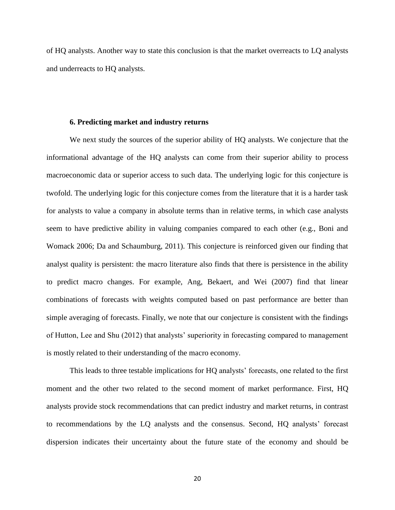of HQ analysts. Another way to state this conclusion is that the market overreacts to LQ analysts and underreacts to HQ analysts.

## **6. Predicting market and industry returns**

We next study the sources of the superior ability of HQ analysts. We conjecture that the informational advantage of the HQ analysts can come from their superior ability to process macroeconomic data or superior access to such data. The underlying logic for this conjecture is twofold. The underlying logic for this conjecture comes from the literature that it is a harder task for analysts to value a company in absolute terms than in relative terms, in which case analysts seem to have predictive ability in valuing companies compared to each other (e.g., Boni and Womack 2006; Da and Schaumburg, 2011). This conjecture is reinforced given our finding that analyst quality is persistent: the macro literature also finds that there is persistence in the ability to predict macro changes. For example, Ang, Bekaert, and Wei (2007) find that linear combinations of forecasts with weights computed based on past performance are better than simple averaging of forecasts. Finally, we note that our conjecture is consistent with the findings of Hutton, Lee and Shu (2012) that analysts' superiority in forecasting compared to management is mostly related to their understanding of the macro economy.

This leads to three testable implications for HQ analysts' forecasts, one related to the first moment and the other two related to the second moment of market performance. First, HQ analysts provide stock recommendations that can predict industry and market returns, in contrast to recommendations by the LQ analysts and the consensus. Second, HQ analysts' forecast dispersion indicates their uncertainty about the future state of the economy and should be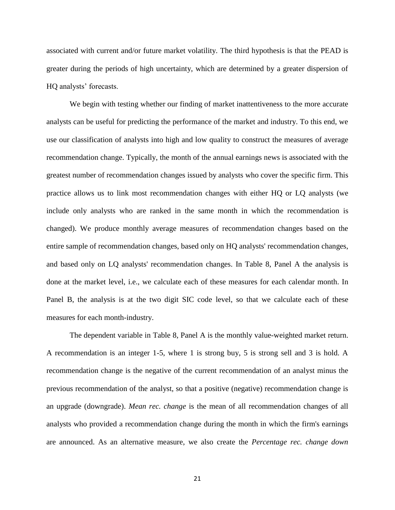associated with current and/or future market volatility. The third hypothesis is that the PEAD is greater during the periods of high uncertainty, which are determined by a greater dispersion of HQ analysts' forecasts.

We begin with testing whether our finding of market inattentiveness to the more accurate analysts can be useful for predicting the performance of the market and industry. To this end, we use our classification of analysts into high and low quality to construct the measures of average recommendation change. Typically, the month of the annual earnings news is associated with the greatest number of recommendation changes issued by analysts who cover the specific firm. This practice allows us to link most recommendation changes with either HQ or LQ analysts (we include only analysts who are ranked in the same month in which the recommendation is changed). We produce monthly average measures of recommendation changes based on the entire sample of recommendation changes, based only on HQ analysts' recommendation changes, and based only on LQ analysts' recommendation changes. In Table 8, Panel A the analysis is done at the market level, i.e., we calculate each of these measures for each calendar month. In Panel B, the analysis is at the two digit SIC code level, so that we calculate each of these measures for each month-industry.

The dependent variable in Table 8, Panel A is the monthly value-weighted market return. A recommendation is an integer 1-5, where 1 is strong buy, 5 is strong sell and 3 is hold. A recommendation change is the negative of the current recommendation of an analyst minus the previous recommendation of the analyst, so that a positive (negative) recommendation change is an upgrade (downgrade). *Mean rec. change* is the mean of all recommendation changes of all analysts who provided a recommendation change during the month in which the firm's earnings are announced. As an alternative measure, we also create the *Percentage rec. change down*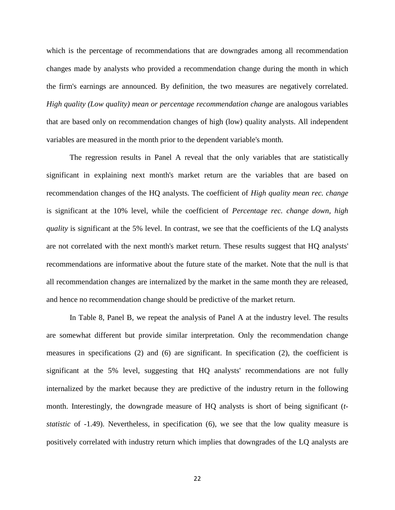which is the percentage of recommendations that are downgrades among all recommendation changes made by analysts who provided a recommendation change during the month in which the firm's earnings are announced. By definition, the two measures are negatively correlated. *High quality (Low quality)* mean or percentage recommendation change are analogous variables that are based only on recommendation changes of high (low) quality analysts. All independent variables are measured in the month prior to the dependent variable's month.

The regression results in Panel A reveal that the only variables that are statistically significant in explaining next month's market return are the variables that are based on recommendation changes of the HQ analysts. The coefficient of *High quality mean rec. change* is significant at the 10% level, while the coefficient of *Percentage rec. change down, high quality* is significant at the 5% level. In contrast, we see that the coefficients of the LQ analysts are not correlated with the next month's market return. These results suggest that HQ analysts' recommendations are informative about the future state of the market. Note that the null is that all recommendation changes are internalized by the market in the same month they are released, and hence no recommendation change should be predictive of the market return.

In Table 8, Panel B, we repeat the analysis of Panel A at the industry level. The results are somewhat different but provide similar interpretation. Only the recommendation change measures in specifications (2) and (6) are significant. In specification (2), the coefficient is significant at the 5% level, suggesting that HQ analysts' recommendations are not fully internalized by the market because they are predictive of the industry return in the following month. Interestingly, the downgrade measure of HQ analysts is short of being significant (*tstatistic* of -1.49). Nevertheless, in specification (6), we see that the low quality measure is positively correlated with industry return which implies that downgrades of the LQ analysts are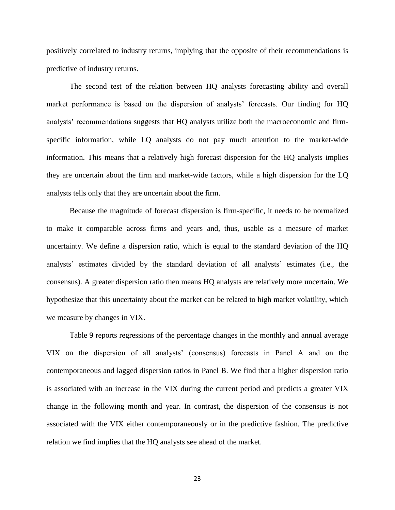positively correlated to industry returns, implying that the opposite of their recommendations is predictive of industry returns.

The second test of the relation between HQ analysts forecasting ability and overall market performance is based on the dispersion of analysts' forecasts. Our finding for HQ analysts' recommendations suggests that HQ analysts utilize both the macroeconomic and firmspecific information, while LQ analysts do not pay much attention to the market-wide information. This means that a relatively high forecast dispersion for the HQ analysts implies they are uncertain about the firm and market-wide factors, while a high dispersion for the LQ analysts tells only that they are uncertain about the firm.

Because the magnitude of forecast dispersion is firm-specific, it needs to be normalized to make it comparable across firms and years and, thus, usable as a measure of market uncertainty. We define a dispersion ratio, which is equal to the standard deviation of the HQ analysts' estimates divided by the standard deviation of all analysts' estimates (i.e., the consensus). A greater dispersion ratio then means HQ analysts are relatively more uncertain. We hypothesize that this uncertainty about the market can be related to high market volatility, which we measure by changes in VIX.

Table 9 reports regressions of the percentage changes in the monthly and annual average VIX on the dispersion of all analysts' (consensus) forecasts in Panel A and on the contemporaneous and lagged dispersion ratios in Panel B. We find that a higher dispersion ratio is associated with an increase in the VIX during the current period and predicts a greater VIX change in the following month and year. In contrast, the dispersion of the consensus is not associated with the VIX either contemporaneously or in the predictive fashion. The predictive relation we find implies that the HQ analysts see ahead of the market.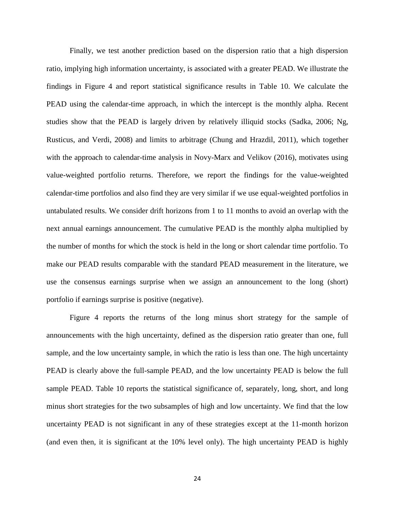Finally, we test another prediction based on the dispersion ratio that a high dispersion ratio, implying high information uncertainty, is associated with a greater PEAD. We illustrate the findings in Figure 4 and report statistical significance results in Table 10. We calculate the PEAD using the calendar-time approach, in which the intercept is the monthly alpha. Recent studies show that the PEAD is largely driven by relatively illiquid stocks (Sadka, 2006; Ng, Rusticus, and Verdi, 2008) and limits to arbitrage (Chung and Hrazdil, 2011), which together with the approach to calendar-time analysis in Novy-Marx and Velikov (2016), motivates using value-weighted portfolio returns. Therefore, we report the findings for the value-weighted calendar-time portfolios and also find they are very similar if we use equal-weighted portfolios in untabulated results. We consider drift horizons from 1 to 11 months to avoid an overlap with the next annual earnings announcement. The cumulative PEAD is the monthly alpha multiplied by the number of months for which the stock is held in the long or short calendar time portfolio. To make our PEAD results comparable with the standard PEAD measurement in the literature, we use the consensus earnings surprise when we assign an announcement to the long (short) portfolio if earnings surprise is positive (negative).

Figure 4 reports the returns of the long minus short strategy for the sample of announcements with the high uncertainty, defined as the dispersion ratio greater than one, full sample, and the low uncertainty sample, in which the ratio is less than one. The high uncertainty PEAD is clearly above the full-sample PEAD, and the low uncertainty PEAD is below the full sample PEAD. Table 10 reports the statistical significance of, separately, long, short, and long minus short strategies for the two subsamples of high and low uncertainty. We find that the low uncertainty PEAD is not significant in any of these strategies except at the 11-month horizon (and even then, it is significant at the 10% level only). The high uncertainty PEAD is highly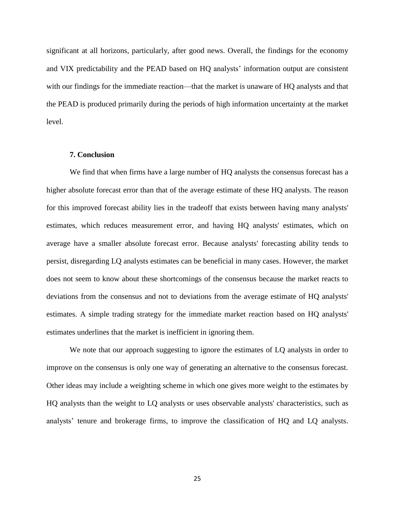significant at all horizons, particularly, after good news. Overall, the findings for the economy and VIX predictability and the PEAD based on HQ analysts' information output are consistent with our findings for the immediate reaction—that the market is unaware of HQ analysts and that the PEAD is produced primarily during the periods of high information uncertainty at the market level.

### **7. Conclusion**

We find that when firms have a large number of HQ analysts the consensus forecast has a higher absolute forecast error than that of the average estimate of these HQ analysts. The reason for this improved forecast ability lies in the tradeoff that exists between having many analysts' estimates, which reduces measurement error, and having HQ analysts' estimates, which on average have a smaller absolute forecast error. Because analysts' forecasting ability tends to persist, disregarding LQ analysts estimates can be beneficial in many cases. However, the market does not seem to know about these shortcomings of the consensus because the market reacts to deviations from the consensus and not to deviations from the average estimate of HQ analysts' estimates. A simple trading strategy for the immediate market reaction based on HQ analysts' estimates underlines that the market is inefficient in ignoring them.

We note that our approach suggesting to ignore the estimates of LQ analysts in order to improve on the consensus is only one way of generating an alternative to the consensus forecast. Other ideas may include a weighting scheme in which one gives more weight to the estimates by HQ analysts than the weight to LQ analysts or uses observable analysts' characteristics, such as analysts' tenure and brokerage firms, to improve the classification of HQ and LQ analysts.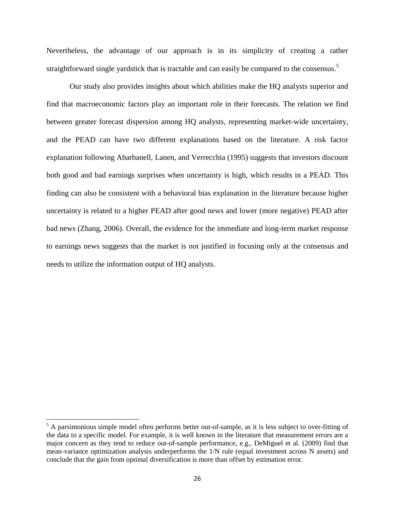Nevertheless, the advantage of our approach is in its simplicity of creating a rather straightforward single yardstick that is tractable and can easily be compared to the consensus.<sup>5</sup>

Our study also provides insights about which abilities make the HQ analysts superior and find that macroeconomic factors play an important role in their forecasts. The relation we find between greater forecast dispersion among HQ analysts, representing market-wide uncertainty, and the PEAD can have two different explanations based on the literature. A risk factor explanation following Abarbanell, Lanen, and Verrecchia (1995) suggests that investors discount both good and bad earnings surprises when uncertainty is high, which results in a PEAD. This finding can also be consistent with a behavioral bias explanation in the literature because higher uncertainty is related to a higher PEAD after good news and lower (more negative) PEAD after bad news (Zhang, 2006). Overall, the evidence for the immediate and long-term market response to earnings news suggests that the market is not justified in focusing only at the consensus and needs to utilize the information output of HQ analysts.

 $\overline{\phantom{a}}$ 

<sup>&</sup>lt;sup>5</sup> A parsimonious simple model often performs better out-of-sample, as it is less subject to over-fitting of the data to a specific model. For example, it is well known in the literature that measurement errors are a major concern as they tend to reduce out-of-sample performance, e.g., DeMiguel et al. (2009) find that mean-variance optimization analysis underperforms the 1/N rule (equal investment across N assets) and conclude that the gain from optimal diversification is more than offset by estimation error.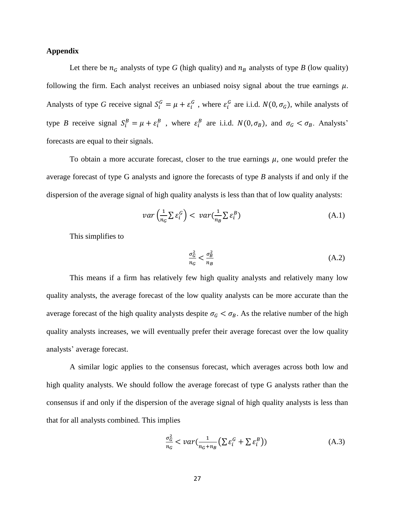## **Appendix**

Let there be  $n_G$  analysts of type *G* (high quality) and  $n_B$  analysts of type *B* (low quality) following the firm. Each analyst receives an unbiased noisy signal about the true earnings  $\mu$ . Analysts of type G receive signal  $S_i^G = \mu + \varepsilon_i^G$ , where  $\varepsilon_i^G$  are i.i.d.  $N(0, \sigma_G)$ , while analysts of type *B* receive signal  $S_i^B = \mu + \varepsilon_i^B$ , where  $\varepsilon_i^B$  are i.i.d.  $N(0, \sigma_B)$ , and  $\sigma_G < \sigma_B$ . Analysts' forecasts are equal to their signals.

To obtain a more accurate forecast, closer to the true earnings  $\mu$ , one would prefer the average forecast of type G analysts and ignore the forecasts of type *B* analysts if and only if the dispersion of the average signal of high quality analysts is less than that of low quality analysts:

$$
var\left(\frac{1}{n_G} \sum \varepsilon_i^G\right) < var\left(\frac{1}{n_B} \sum \varepsilon_i^B\right) \tag{A.1}
$$

This simplifies to

$$
\frac{\sigma_G^2}{n_G} < \frac{\sigma_B^2}{n_B} \tag{A.2}
$$

This means if a firm has relatively few high quality analysts and relatively many low quality analysts, the average forecast of the low quality analysts can be more accurate than the average forecast of the high quality analysts despite  $\sigma_G < \sigma_B$ . As the relative number of the high quality analysts increases, we will eventually prefer their average forecast over the low quality analysts' average forecast.

A similar logic applies to the consensus forecast, which averages across both low and high quality analysts. We should follow the average forecast of type G analysts rather than the consensus if and only if the dispersion of the average signal of high quality analysts is less than that for all analysts combined. This implies

$$
\frac{\sigma_G^2}{n_G} < var\left(\frac{1}{n_G + n_B} \left(\sum \varepsilon_i^G + \sum \varepsilon_i^B\right)\right) \tag{A.3}
$$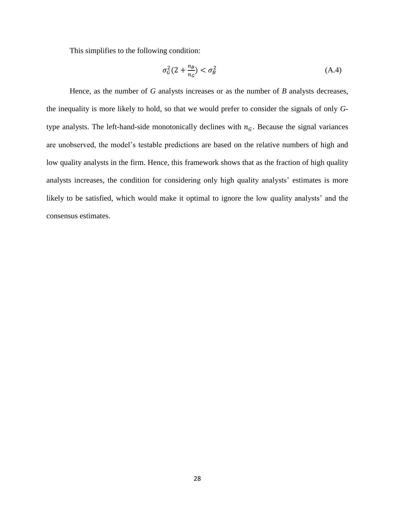This simplifies to the following condition:

$$
\sigma_G^2(2 + \frac{n_B}{n_G}) < \sigma_B^2 \tag{A.4}
$$

Hence, as the number of *G* analysts increases or as the number of *B* analysts decreases, the inequality is more likely to hold, so that we would prefer to consider the signals of only *G*type analysts. The left-hand-side monotonically declines with  $n<sub>G</sub>$ . Because the signal variances are unobserved, the model's testable predictions are based on the relative numbers of high and low quality analysts in the firm. Hence, this framework shows that as the fraction of high quality analysts increases, the condition for considering only high quality analysts' estimates is more likely to be satisfied, which would make it optimal to ignore the low quality analysts' and the consensus estimates.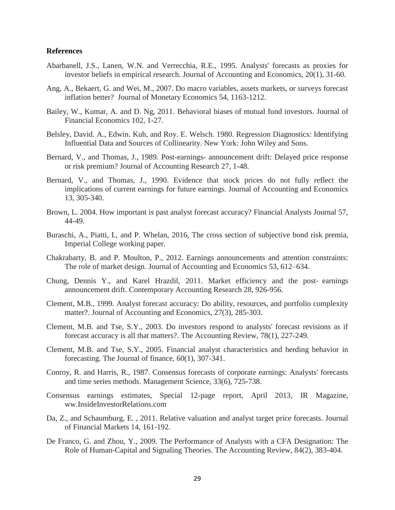## **References**

- Abarbanell, J.S., Lanen, W.N. and Verrecchia, R.E., 1995. Analysts' forecasts as proxies for investor beliefs in empirical research. Journal of Accounting and Economics, 20(1), 31-60.
- Ang, A., Bekaert, G. and Wei, M., 2007. Do macro variables, assets markets, or surveys forecast inflation better? Journal of Monetary Economics 54, 1163-1212.
- Bailey, W., Kumar, A. and D. Ng, 2011. Behavioral biases of mutual fund investors. Journal of Financial Economics 102, 1-27.
- Belsley, David. A., Edwin. Kuh, and Roy. E. Welsch. 1980. Regression Diagnostics: Identifying Influential Data and Sources of Collinearity. New York: John Wiley and Sons.
- Bernard, V., and Thomas, J., 1989. Post-earnings- announcement drift: Delayed price response or risk premium? Journal of Accounting Research 27, 1-48.
- Bernard, V., and Thomas, J., 1990. Evidence that stock prices do not fully reflect the implications of current earnings for future earnings. Journal of Accounting and Economics 13, 305-340.
- Brown, L. 2004. How important is past analyst forecast accuracy? Financial Analysts Journal 57, 44-49.
- Buraschi, A., Piatti, I., and P. Whelan, 2016, The cross section of subjective bond risk premia, Imperial College working paper.
- Chakrabarty, B. and P. Moulton, P., 2012. Earnings announcements and attention constraints: The role of market design. Journal of Accounting and Economics 53, 612–634.
- Chung, Dennis Y., and Karel Hrazdil, 2011. Market efficiency and the post‐ earnings announcement drift. Contemporary Accounting Research 28, 926-956.
- Clement, M.B., 1999. Analyst forecast accuracy: Do ability, resources, and portfolio complexity matter?. Journal of Accounting and Economics, 27(3), 285-303.
- Clement, M.B. and Tse, S.Y., 2003. Do investors respond to analysts' forecast revisions as if forecast accuracy is all that matters?. The Accounting Review, 78(1), 227-249.
- Clement, M.B. and Tse, S.Y., 2005. Financial analyst characteristics and herding behavior in forecasting. The Journal of finance, 60(1), 307-341.
- Conroy, R. and Harris, R., 1987. Consensus forecasts of corporate earnings: Analysts' forecasts and time series methods. Management Science, 33(6), 725-738.
- Consensus earnings estimates, Special 12-page report, April 2013, IR Magazine, ww.InsideInvestorRelations.com
- Da, Z., and Schaumburg, E. , 2011. Relative valuation and analyst target price forecasts. Journal of Financial Markets 14, 161-192.
- De Franco, G. and Zhou, Y., 2009. The Performance of Analysts with a CFA Designation: The Role of Human-Capital and Signaling Theories. The Accounting Review, 84(2), 383-404.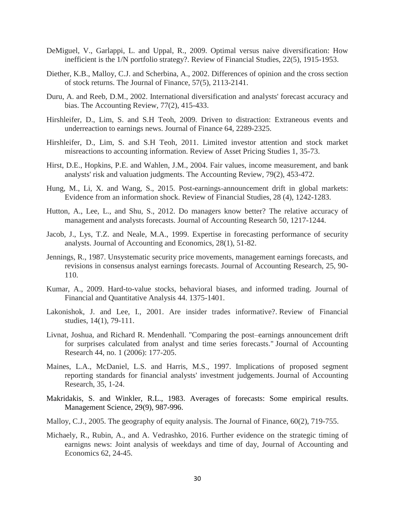- DeMiguel, V., Garlappi, L. and Uppal, R., 2009. Optimal versus naive diversification: How inefficient is the 1/N portfolio strategy?. Review of Financial Studies, 22(5), 1915-1953.
- Diether, K.B., Malloy, C.J. and Scherbina, A., 2002. Differences of opinion and the cross section of stock returns. The Journal of Finance, 57(5), 2113-2141.
- Duru, A. and Reeb, D.M., 2002. International diversification and analysts' forecast accuracy and bias. The Accounting Review, 77(2), 415-433.
- Hirshleifer, D., Lim, S. and S.H Teoh, 2009. Driven to distraction: Extraneous events and underreaction to earnings news. Journal of Finance 64, 2289-2325.
- Hirshleifer, D., Lim, S. and S.H Teoh, 2011. Limited investor attention and stock market misreactions to accounting information. Review of Asset Pricing Studies 1, 35-73.
- Hirst, D.E., Hopkins, P.E. and Wahlen, J.M., 2004. Fair values, income measurement, and bank analysts' risk and valuation judgments. The Accounting Review, 79(2), 453-472.
- Hung, M., Li, X. and Wang, S., 2015. Post-earnings-announcement drift in global markets: Evidence from an information shock. Review of Financial Studies, 28 (4), 1242-1283.
- Hutton, A., Lee, L., and Shu, S., 2012. Do managers know better? The relative accuracy of management and analysts forecasts. Journal of Accounting Research 50, 1217-1244.
- Jacob, J., Lys, T.Z. and Neale, M.A., 1999. Expertise in forecasting performance of security analysts. Journal of Accounting and Economics, 28(1), 51-82.
- Jennings, R., 1987. Unsystematic security price movements, management earnings forecasts, and revisions in consensus analyst earnings forecasts. Journal of Accounting Research, 25, 90- 110.
- Kumar, A., 2009. Hard-to-value stocks, behavioral biases, and informed trading. Journal of Financial and Quantitative Analysis 44. 1375-1401.
- Lakonishok, J. and Lee, I., 2001. Are insider trades informative?. Review of Financial studies, 14(1), 79-111.
- Livnat, Joshua, and Richard R. Mendenhall. "Comparing the post–earnings announcement drift for surprises calculated from analyst and time series forecasts." Journal of Accounting Research 44, no. 1 (2006): 177-205.
- Maines, L.A., McDaniel, L.S. and Harris, M.S., 1997. Implications of proposed segment reporting standards for financial analysts' investment judgements. Journal of Accounting Research, 35, 1-24.
- Makridakis, S. and Winkler, R.L., 1983. Averages of forecasts: Some empirical results. Management Science, 29(9), 987-996.
- Malloy, C.J., 2005. The geography of equity analysis. The Journal of Finance, 60(2), 719-755.
- Michaely, R., Rubin, A., and A. Vedrashko, 2016. Further evidence on the strategic timing of earnigns news: Joint analysis of weekdays and time of day, Journal of Accounting and Economics 62, 24-45.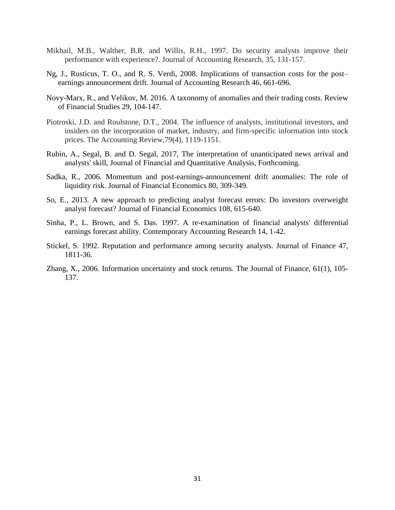- Mikhail, M.B., Walther, B.R. and Willis, R.H., 1997. Do security analysts improve their performance with experience?. Journal of Accounting Research, 35, 131-157.
- Ng, J., Rusticus, T. O., and R. S. Verdi, 2008. Implications of transaction costs for the post– earnings announcement drift. Journal of Accounting Research 46, 661-696.
- Novy-Marx, R., and Velikov, M. 2016. A taxonomy of anomalies and their trading costs. Review of Financial Studies 29, 104-147.
- Piotroski, J.D. and Roulstone, D.T., 2004. The influence of analysts, institutional investors, and insiders on the incorporation of market, industry, and firm-specific information into stock prices. The Accounting Review,79(4), 1119-1151.
- Rubin, A., Segal, B. and D. Segal, 2017, The interpretation of unanticipated news arrival and analysts' skill, Journal of Financial and Quantitative Analysis, Forthcoming.
- Sadka, R., 2006. Momentum and post-earnings-announcement drift anomalies: The role of liquidity risk. Journal of Financial Economics 80, 309-349.
- So, E., 2013. A new approach to predicting analyst forecast errors: Do investors overweight analyst forecast? Journal of Financial Economics 108, 615-640.
- Sinha, P., L. Brown, and S. Das. 1997. A re-examination of financial analysts' differential earnings forecast ability. Contemporary Accounting Research 14, 1-42.
- Stickel, S. 1992. Reputation and performance among security analysts. Journal of Finance 47, 1811-36.
- Zhang, X., 2006. Information uncertainty and stock returns. The Journal of Finance, 61(1), 105- 137.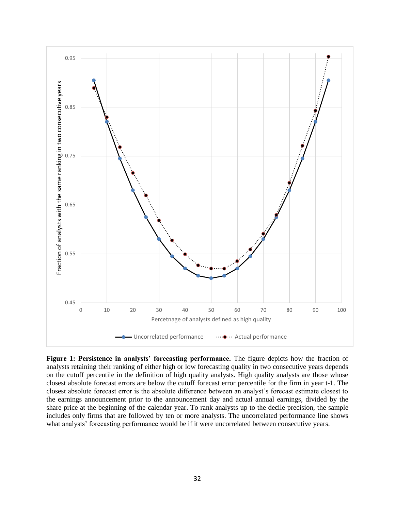

**Figure 1: Persistence in analysts' forecasting performance.** The figure depicts how the fraction of analysts retaining their ranking of either high or low forecasting quality in two consecutive years depends on the cutoff percentile in the definition of high quality analysts. High quality analysts are those whose closest absolute forecast errors are below the cutoff forecast error percentile for the firm in year t-1. The closest absolute forecast error is the absolute difference between an analyst's forecast estimate closest to the earnings announcement prior to the announcement day and actual annual earnings, divided by the share price at the beginning of the calendar year. To rank analysts up to the decile precision, the sample includes only firms that are followed by ten or more analysts. The uncorrelated performance line shows what analysts' forecasting performance would be if it were uncorrelated between consecutive years.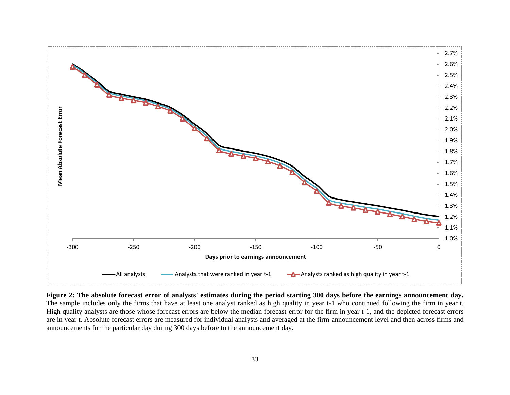

**Figure 2: The absolute forecast error of analysts' estimates during the period starting 300 days before the earnings announcement day.** The sample includes only the firms that have at least one analyst ranked as high quality in year t-1 who continued following the firm in year t. High quality analysts are those whose forecast errors are below the median forecast error for the firm in year t-1, and the depicted forecast errors are in year t. Absolute forecast errors are measured for individual analysts and averaged at the firm-announcement level and then across firms and announcements for the particular day during 300 days before to the announcement day.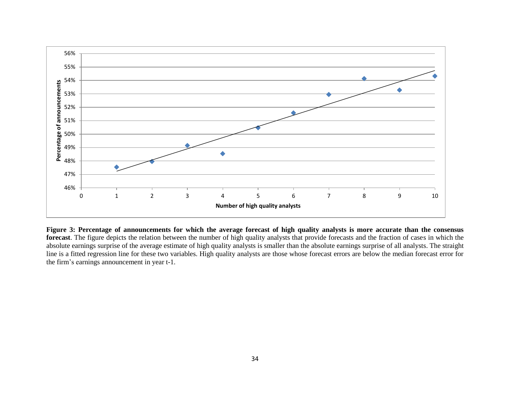

**Figure 3: Percentage of announcements for which the average forecast of high quality analysts is more accurate than the consensus forecast**. The figure depicts the relation between the number of high quality analysts that provide forecasts and the fraction of cases in which the absolute earnings surprise of the average estimate of high quality analysts is smaller than the absolute earnings surprise of all analysts. The straight line is a fitted regression line for these two variables. High quality analysts are those whose forecast errors are below the median forecast error for the firm's earnings announcement in year t-1.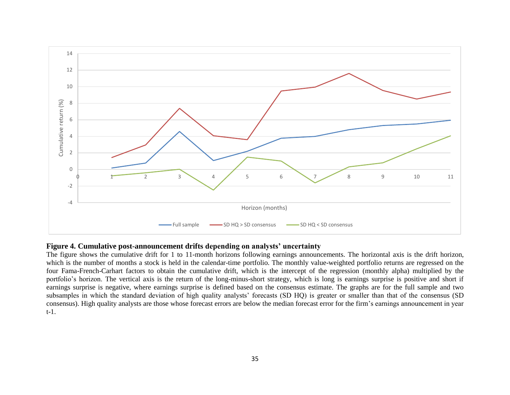

## **Figure 4. Cumulative post-announcement drifts depending on analysts' uncertainty**

The figure shows the cumulative drift for 1 to 11-month horizons following earnings announcements. The horizontal axis is the drift horizon, which is the number of months a stock is held in the calendar-time portfolio. The monthly value-weighted portfolio returns are regressed on the four Fama-French-Carhart factors to obtain the cumulative drift, which is the intercept of the regression (monthly alpha) multiplied by the portfolio's horizon. The vertical axis is the return of the long-minus-short strategy, which is long is earnings surprise is positive and short if earnings surprise is negative, where earnings surprise is defined based on the consensus estimate. The graphs are for the full sample and two subsamples in which the standard deviation of high quality analysts' forecasts (SD HQ) is greater or smaller than that of the consensus (SD consensus). High quality analysts are those whose forecast errors are below the median forecast error for the firm's earnings announcement in year t-1.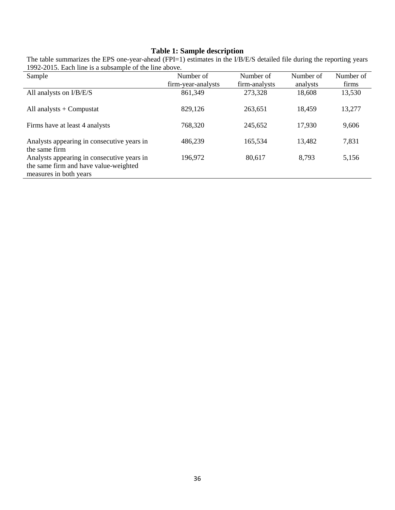# **Table 1: Sample description**

| Sample                                                                                                        | Number of          | Number of     | Number of | Number of |
|---------------------------------------------------------------------------------------------------------------|--------------------|---------------|-----------|-----------|
|                                                                                                               | firm-year-analysts | firm-analysts | analysts  | firms     |
| All analysts on I/B/E/S                                                                                       | 861,349            | 273,328       | 18,608    | 13,530    |
| All analysts $+$ Compustat                                                                                    | 829,126            | 263,651       | 18,459    | 13,277    |
| Firms have at least 4 analysts                                                                                | 768,320            | 245,652       | 17,930    | 9,606     |
| Analysts appearing in consecutive years in<br>the same firm                                                   | 486,239            | 165,534       | 13,482    | 7,831     |
| Analysts appearing in consecutive years in<br>the same firm and have value-weighted<br>measures in both years | 196,972            | 80,617        | 8,793     | 5,156     |

The table summarizes the EPS one-year-ahead (FPI=1) estimates in the I/B/E/S detailed file during the reporting years 1992-2015. Each line is a subsample of the line above.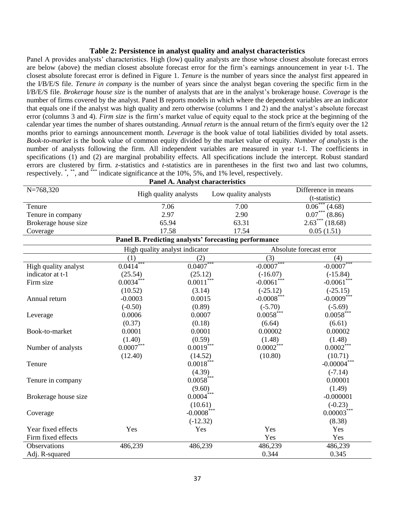#### **Table 2: Persistence in analyst quality and analyst characteristics**

Panel A provides analysts' characteristics. High (low) quality analysts are those whose closest absolute forecast errors are below (above) the median closest absolute forecast error for the firm's earnings announcement in year t-1. The closest absolute forecast error is defined in Figure 1. *Tenure* is the number of years since the analyst first appeared in the I/B/E/S file. *Tenure in company* is the number of years since the analyst began covering the specific firm in the I/B/E/S file. *Brokerage house size* is the number of analysts that are in the analyst's brokerage house. *Coverage* is the number of firms covered by the analyst. Panel B reports models in which where the dependent variables are an indicator that equals one if the analyst was high quality and zero otherwise (columns 1 and 2) and the analyst's absolute forecast error (columns 3 and 4). *Firm size* is the firm's market value of equity equal to the stock price at the beginning of the calendar year times the number of shares outstanding. *Annual return* is the annual return of the firm's equity over the 12 months prior to earnings announcement month. *Leverage* is the book value of total liabilities divided by total assets. *Book-to-market* is the book value of common equity divided by the market value of equity. *Number of analysts* is the number of analysts following the firm. All independent variables are measured in year t-1. The coefficients in specifications (1) and (2) are marginal probability effects. All specifications include the intercept. Robust standard errors are clustered by firm. *z-*statistics and *t*-statistics are in parentheses in the first two and last two columns, respectively. ", "", and "\*\*\* indicate significance at the 10%, 5%, and 1% level, respectively.

| <b>Panel A. Analyst characteristics</b> |                           |                                |                                                       |                         |                                      |  |  |  |  |  |  |
|-----------------------------------------|---------------------------|--------------------------------|-------------------------------------------------------|-------------------------|--------------------------------------|--|--|--|--|--|--|
| $N = 768,320$                           |                           | High quality analysts          | Low quality analysts                                  |                         | Difference in means<br>(t-statistic) |  |  |  |  |  |  |
| Tenure                                  |                           | 7.06                           | 7.00                                                  |                         | $0.06***$ (4.68)                     |  |  |  |  |  |  |
| Tenure in company                       |                           | 2.97                           | 2.90                                                  |                         | $0.07***$ (8.86)                     |  |  |  |  |  |  |
| Brokerage house size                    |                           | 65.94                          | 63.31                                                 |                         | $2.63***$ $(18.68)$                  |  |  |  |  |  |  |
| Coverage                                |                           | 17.58                          | 17.54                                                 |                         | 0.05(1.51)                           |  |  |  |  |  |  |
|                                         |                           |                                | Panel B. Predicting analysts' forecasting performance |                         |                                      |  |  |  |  |  |  |
|                                         |                           | High quality analyst indicator |                                                       |                         | Absolute forecast error              |  |  |  |  |  |  |
|                                         | (1)                       | (2)                            |                                                       | (3)                     | (4)                                  |  |  |  |  |  |  |
| High quality analyst                    | $0.04\overline{14}^{***}$ | $0.04\overline{07}^{***}$      |                                                       | $-0.0007***$            | $-0.0007$ ***                        |  |  |  |  |  |  |
| indicator at t-1                        | (25.54)                   | (25.12)                        |                                                       | $(-16.07)$              | $(-15.84)$                           |  |  |  |  |  |  |
| Firm size                               | $0.0034***$               | $0.0011$ ***                   |                                                       | $-0.0061$ ***           | $-0.0061$ ***                        |  |  |  |  |  |  |
|                                         | (10.52)                   | (3.14)                         |                                                       | $(-25.12)$              | $(-25.15)$                           |  |  |  |  |  |  |
| Annual return                           | $-0.0003$                 | 0.0015                         |                                                       | $-0.0008$ ***           | $-0.0009***$                         |  |  |  |  |  |  |
|                                         | $(-0.50)$                 | (0.89)                         |                                                       | $(-5.70)$               | $(-5.69)$                            |  |  |  |  |  |  |
| Leverage                                | 0.0006                    | 0.0007                         |                                                       | $0.0058$ ***            | $0.0058$ <sup>***</sup>              |  |  |  |  |  |  |
|                                         | (0.37)                    | (0.18)                         |                                                       | (6.64)                  | (6.61)                               |  |  |  |  |  |  |
| Book-to-market                          | 0.0001                    | 0.0001                         |                                                       | 0.00002                 | 0.00002                              |  |  |  |  |  |  |
|                                         | (1.40)                    | (0.59)                         |                                                       | (1.48)                  | (1.48)                               |  |  |  |  |  |  |
| Number of analysts                      | $0.0007^{\text{***}}$     | $0.0019$ <sup>***</sup>        |                                                       | $0.0002$ <sup>***</sup> | $0.0002\overset{***}{ }$             |  |  |  |  |  |  |
|                                         | (12.40)                   | (14.52)                        |                                                       | (10.80)                 | (10.71)                              |  |  |  |  |  |  |
| Tenure                                  |                           | $0.0018***$                    |                                                       |                         | $-0.00004***$                        |  |  |  |  |  |  |
|                                         |                           | (4.39)                         |                                                       |                         | $(-7.14)$                            |  |  |  |  |  |  |
| Tenure in company                       |                           | $0.0058***$                    |                                                       |                         | 0.00001                              |  |  |  |  |  |  |
|                                         |                           | (9.60)                         |                                                       |                         | (1.49)                               |  |  |  |  |  |  |
| Brokerage house size                    |                           | $0.0004***$                    |                                                       |                         | $-0.000001$                          |  |  |  |  |  |  |
|                                         |                           | (10.61)                        |                                                       |                         | $(-0.23)$                            |  |  |  |  |  |  |
| Coverage                                |                           | $-0.0008$ <sup>***</sup>       |                                                       |                         | $0.00003***$                         |  |  |  |  |  |  |
|                                         |                           | $(-12.32)$                     |                                                       |                         | (8.38)                               |  |  |  |  |  |  |
| Year fixed effects                      | Yes                       | Yes                            |                                                       | Yes                     | Yes                                  |  |  |  |  |  |  |
| Firm fixed effects                      |                           |                                |                                                       | Yes                     | Yes                                  |  |  |  |  |  |  |
| Observations                            | 486,239                   | 486,239                        |                                                       | 486,239                 | 486,239                              |  |  |  |  |  |  |
| Adj. R-squared                          |                           |                                |                                                       | 0.344                   | 0.345                                |  |  |  |  |  |  |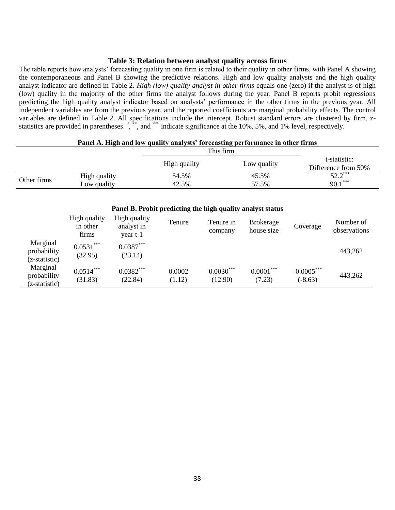## **Table 3: Relation between analyst quality across firms**

The table reports how analysts' forecasting quality in one firm is related to their quality in other firms, with Panel A showing the contemporaneous and Panel B showing the predictive relations. High and low quality analysts and the high quality analyst indicator are defined in Table 2. *High (low) quality analyst in other firms* equals one (zero) if the analyst is of high (low) quality in the majority of the other firms the analyst follows during the year. Panel B reports probit regressions predicting the high quality analyst indicator based on analysts' performance in the other firms in the previous year. All independent variables are from the previous year, and the reported coefficients are marginal probability effects. The control variables are defined in Table 2. All specifications include the intercept. Robust standard errors are clustered by firm. zstatistics are provided in parentheses. ", "", and ""\* indicate significance at the 10%, 5%, and 1% level, respectively.

| T and in might and fow quality analysis for constitue performance in other in mis |              |              |             |                                     |  |  |  |
|-----------------------------------------------------------------------------------|--------------|--------------|-------------|-------------------------------------|--|--|--|
|                                                                                   |              |              | This firm   |                                     |  |  |  |
|                                                                                   |              | High quality | Low quality | t-statistic:<br>Difference from 50% |  |  |  |
|                                                                                   | High quality | 54.5%        | 45.5%       | $50.2***$<br>∟.⊾ک                   |  |  |  |
| Other firms                                                                       | Low quality  | 42.5%        | 57.5%       | $90.1***$                           |  |  |  |

|                                          | Panel B. Probit predicting the high quality analyst status |                                        |                  |                        |                                |                           |                           |  |  |  |  |
|------------------------------------------|------------------------------------------------------------|----------------------------------------|------------------|------------------------|--------------------------------|---------------------------|---------------------------|--|--|--|--|
|                                          | High quality<br>in other<br>firms                          | High quality<br>analyst in<br>year t-1 | Tenure           | Tenure in<br>company   | <b>Brokerage</b><br>house size | Coverage                  | Number of<br>observations |  |  |  |  |
| Marginal<br>probability<br>(z-statistic) | $0.0531***$<br>(32.95)                                     | $0.0387***$<br>(23.14)                 |                  |                        |                                |                           | 443,262                   |  |  |  |  |
| Marginal<br>probability<br>(z-statistic) | $0.0514***$<br>(31.83)                                     | $0.0382***$<br>(22.84)                 | 0.0002<br>(1.12) | $0.0030***$<br>(12.90) | $0.0001***$<br>(7.23)          | $-0.0005***$<br>$(-8.63)$ | 443,262                   |  |  |  |  |

#### **Panel A. High and low quality analysts' forecasting performance in other firms**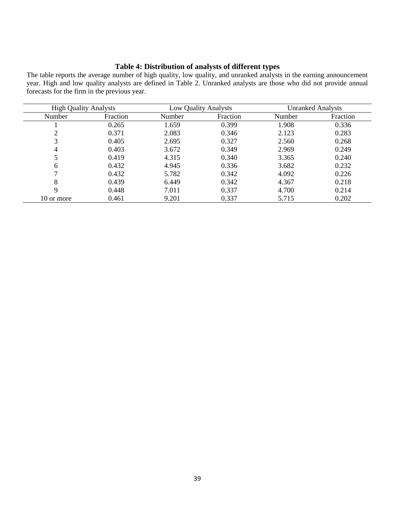## **Table 4: Distribution of analysts of different types**

The table reports the average number of high quality, low quality, and unranked analysts in the earning announcement year. High and low quality analysts are defined in Table 2. Unranked analysts are those who did not provide annual forecasts for the firm in the previous year.

| <b>High Quality Analysts</b> |          |        | <b>Unranked Analysts</b><br><b>Low Quality Analysts</b> |        |          |
|------------------------------|----------|--------|---------------------------------------------------------|--------|----------|
| Number                       | Fraction | Number | Fraction                                                | Number | Fraction |
|                              | 0.265    | 1.659  | 0.399                                                   | 1.908  | 0.336    |
| ◠                            | 0.371    | 2.083  | 0.346                                                   | 2.123  | 0.283    |
| 3                            | 0.405    | 2.695  | 0.327                                                   | 2.560  | 0.268    |
| 4                            | 0.403    | 3.672  | 0.349                                                   | 2.969  | 0.249    |
|                              | 0.419    | 4.315  | 0.340                                                   | 3.365  | 0.240    |
| 6                            | 0.432    | 4.945  | 0.336                                                   | 3.682  | 0.232    |
| ⇁                            | 0.432    | 5.782  | 0.342                                                   | 4.092  | 0.226    |
| 8                            | 0.439    | 6.449  | 0.342                                                   | 4.367  | 0.218    |
| 9                            | 0.448    | 7.011  | 0.337                                                   | 4.700  | 0.214    |
| 10 or more                   | 0.461    | 9.201  | 0.337                                                   | 5.715  | 0.202    |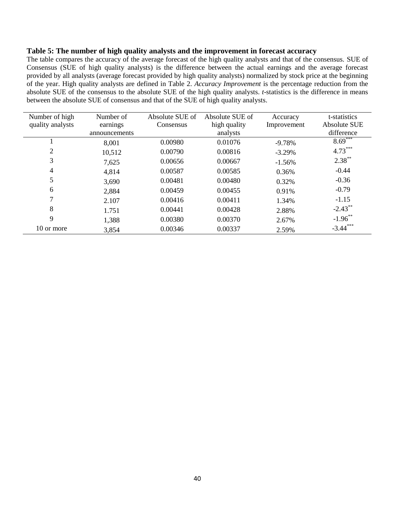### **Table 5: The number of high quality analysts and the improvement in forecast accuracy**

The table compares the accuracy of the average forecast of the high quality analysts and that of the consensus. SUE of Consensus (SUE of high quality analysts) is the difference between the actual earnings and the average forecast provided by all analysts (average forecast provided by high quality analysts) normalized by stock price at the beginning of the year. High quality analysts are defined in Table 2. *Accuracy Improvement* is the percentage reduction from the absolute SUE of the consensus to the absolute SUE of the high quality analysts. *t*-statistics is the difference in means between the absolute SUE of consensus and that of the SUE of high quality analysts.

| Number of high   | Number of     | Absolute SUE of | Absolute SUE of | Accuracy    | t-statistics |
|------------------|---------------|-----------------|-----------------|-------------|--------------|
| quality analysts | earnings      | Consensus       | high quality    | Improvement | Absolute SUE |
|                  | announcements |                 | analysts        |             | difference   |
|                  | 8,001         | 0.00980         | 0.01076         | $-9.78%$    | $8.69***$    |
| $\overline{2}$   | 10,512        | 0.00790         | 0.00816         | $-3.29%$    | $4.73***$    |
| 3                | 7,625         | 0.00656         | 0.00667         | $-1.56%$    | $2.38***$    |
| 4                | 4,814         | 0.00587         | 0.00585         | 0.36%       | $-0.44$      |
| 5                | 3,690         | 0.00481         | 0.00480         | 0.32%       | $-0.36$      |
| 6                | 2,884         | 0.00459         | 0.00455         | 0.91%       | $-0.79$      |
|                  | 2.107         | 0.00416         | 0.00411         | 1.34%       | $-1.15$      |
| 8                | 1.751         | 0.00441         | 0.00428         | 2.88%       | $-2.43$ **   |
| 9                | 1,388         | 0.00380         | 0.00370         | 2.67%       | $-1.96$ **   |
| 10 or more       | 3,854         | 0.00346         | 0.00337         | 2.59%       | $-3.44***$   |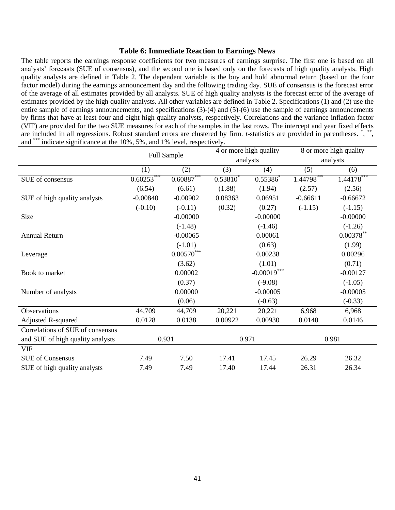## **Table 6: Immediate Reaction to Earnings News**

The table reports the earnings response coefficients for two measures of earnings surprise. The first one is based on all analysts' forecasts (SUE of consensus), and the second one is based only on the forecasts of high quality analysts. High quality analysts are defined in Table 2. The dependent variable is the buy and hold abnormal return (based on the four factor model) during the earnings announcement day and the following trading day. SUE of consensus is the forecast error of the average of all estimates provided by all analysts. SUE of high quality analysts is the forecast error of the average of estimates provided by the high quality analysts. All other variables are defined in Table 2. Specifications (1) and (2) use the entire sample of earnings announcements, and specifications (3)-(4) and (5)-(6) use the sample of earnings announcements by firms that have at least four and eight high quality analysts, respectively. Correlations and the variance inflation factor (VIF) are provided for the two SUE measures for each of the samples in the last rows. The intercept and year fixed effects are included in all regressions. Robust standard errors are clustered by firm. *t*-statistics are provided in parentheses. \*, \*\*, and \*\*\* indicate significance at the 10%, 5%, and 1% level, respectively.

|                                  | Full Sample                |                   | 4 or more high quality |               | 8 or more high quality |              |
|----------------------------------|----------------------------|-------------------|------------------------|---------------|------------------------|--------------|
|                                  |                            |                   |                        | analysts      |                        | analysts     |
|                                  | (1)                        | (2)               | (3)                    | (4)           | (5)                    | (6)          |
| SUE of consensus                 | $0.602\overline{53}^{***}$ | $0.60887***$      | $0.53810^{*}$          | $0.55386^*$   | $1.44798***$           | $1.44178***$ |
|                                  | (6.54)                     | (6.61)            | (1.88)                 | (1.94)        | (2.57)                 | (2.56)       |
| SUE of high quality analysts     | $-0.00840$                 | $-0.00902$        | 0.08363                | 0.06951       | $-0.66611$             | $-0.66672$   |
|                                  | $(-0.10)$                  | $(-0.11)$         | (0.32)                 | (0.27)        | $(-1.15)$              | $(-1.15)$    |
| Size                             |                            | $-0.00000$        |                        | $-0.00000$    |                        | $-0.00000$   |
|                                  |                            | $(-1.48)$         |                        | $(-1.46)$     |                        | $(-1.26)$    |
| <b>Annual Return</b>             |                            | $-0.00065$        |                        | 0.00061       |                        | $0.00378**$  |
|                                  |                            | $(-1.01)$         |                        | (0.63)        |                        | (1.99)       |
| Leverage                         |                            | $0.00570^{***}\,$ |                        | 0.00238       |                        | 0.00296      |
|                                  |                            | (3.62)            |                        | (1.01)        |                        | (0.71)       |
| Book to market                   |                            | 0.00002           |                        | $-0.00019***$ |                        | $-0.00127$   |
|                                  |                            | (0.37)            |                        | $(-9.08)$     |                        | $(-1.05)$    |
| Number of analysts               |                            | 0.00000           |                        | $-0.00005$    |                        | $-0.00005$   |
|                                  |                            | (0.06)            |                        | $(-0.63)$     |                        | $(-0.33)$    |
| Observations                     | 44,709                     | 44,709            | 20,221                 | 20,221        | 6,968                  | 6,968        |
| <b>Adjusted R-squared</b>        | 0.0128                     | 0.0138            | 0.00922                | 0.00930       | 0.0140                 | 0.0146       |
| Correlations of SUE of consensus |                            |                   |                        |               |                        |              |
| and SUE of high quality analysts | 0.931                      |                   |                        | 0.971         |                        | 0.981        |
| <b>VIF</b>                       |                            |                   |                        |               |                        |              |
| <b>SUE of Consensus</b>          | 7.49                       | 7.50              | 17.41                  | 17.45         | 26.29                  | 26.32        |
| SUE of high quality analysts     | 7.49                       | 7.49              | 17.40                  | 17.44         | 26.31                  | 26.34        |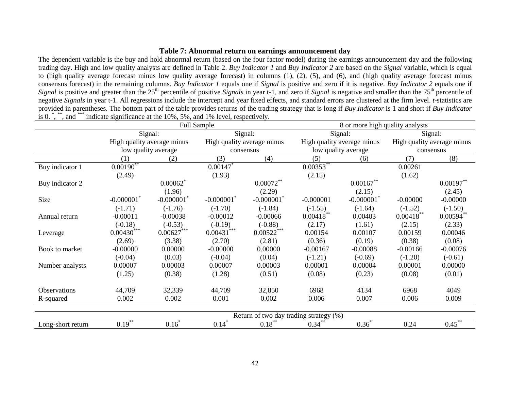# **Table 7: Abnormal return on earnings announcement day**

The dependent variable is the buy and hold abnormal return (based on the four factor model) during the earnings announcement day and the following trading day. High and low quality analysts are defined in Table 2. *Buy Indicator 1* and *Buy Indicator 2* are based on the *Signal* variable, which is equal to (high quality average forecast minus low quality average forecast) in columns (1), (2), (5), and (6), and (high quality average forecast minus consensus forecast) in the remaining columns. *Buy Indicator 1* equals one if *Signal* is positive and zero if it is negative. *Buy Indicator 2* equals one if *Signal* is positive and greater than the 25<sup>th</sup> percentile of positive *Signals* in year t-1, and zero if *Signal* is negative and smaller than the 75<sup>th</sup> percentile of negative *Signals* in year t-1. All regressions include the intercept and year fixed effects, and standard errors are clustered at the firm level. *t*-statistics are provided in parentheses. The bottom part of the table provides returns of the trading strategy that is long if *Buy Indicator* is 1 and short if *Buy Indicator* is 0. \*, \*\*, and \*\*\*\* indicate significance at the 10%, 5%, and 1% level, respectively.

|                   |                            |              | Full Sample                |                                        |                         | 8 or more high quality analysts |                            |              |  |
|-------------------|----------------------------|--------------|----------------------------|----------------------------------------|-------------------------|---------------------------------|----------------------------|--------------|--|
|                   | Signal:                    |              | Signal:                    |                                        |                         | Signal:                         |                            | Signal:      |  |
|                   | High quality average minus |              | High quality average minus |                                        |                         | High quality average minus      | High quality average minus |              |  |
|                   | low quality average        |              | consensus                  |                                        |                         | low quality average             | consensus                  |              |  |
|                   | (1)                        | (2)          | (3)                        | (4)                                    | (5)                     | (6)                             | (7)                        | (8)          |  |
| Buy indicator 1   | $0.00190**$                |              | 0.00147                    |                                        | $0.00353$ <sup>**</sup> |                                 | 0.00261                    |              |  |
|                   | (2.49)                     |              | (1.93)                     |                                        | (2.15)                  |                                 | (1.62)                     |              |  |
| Buy indicator 2   |                            | 0.00062      |                            | $0.00072***$                           |                         | $0.00167**$                     |                            | $0.00197***$ |  |
|                   |                            | (1.96)       |                            | (2.29)                                 |                         | (2.15)                          |                            | (2.45)       |  |
| Size              | $-0.000001$                | $-0.000001$  | $-0.000001$ <sup>*</sup>   | $-0.000001$                            | $-0.000001$             | $-0.000001$                     | $-0.00000$                 | $-0.00000$   |  |
|                   | $(-1.71)$                  | $(-1.76)$    | $(-1.70)$                  | $(-1.84)$                              | $(-1.55)$               | $(-1.64)$                       | $(-1.52)$                  | $(-1.50)$    |  |
| Annual return     | $-0.00011$                 | $-0.00038$   | $-0.00012$                 | $-0.00066$                             | $0.00418**$             | 0.00403                         | $0.00418$ **               | $0.00594$ ** |  |
|                   | $(-0.18)$                  | $(-0.53)$    | $(-0.19)$                  | $(-0.88)$                              | (2.17)                  | (1.61)                          | (2.15)                     | (2.33)       |  |
| Leverage          | $0.00430***$               | $0.00627***$ | $0.00431***$               | $0.00522***$                           | 0.00154                 | 0.00107                         | 0.00159                    | 0.00046      |  |
|                   | (2.69)                     | (3.38)       | (2.70)                     | (2.81)                                 | (0.36)                  | (0.19)                          | (0.38)                     | (0.08)       |  |
| Book to market    | $-0.00000$                 | 0.00000      | $-0.00000$                 | 0.00000                                | $-0.00167$              | $-0.00088$                      | $-0.00166$                 | $-0.00076$   |  |
|                   | $(-0.04)$                  | (0.03)       | $(-0.04)$                  | (0.04)                                 | $(-1.21)$               | $(-0.69)$                       | $(-1.20)$                  | $(-0.61)$    |  |
| Number analysts   | 0.00007                    | 0.00003      | 0.00007                    | 0.00003                                | 0.00001                 | 0.00004                         | 0.00001                    | 0.00000      |  |
|                   | (1.25)                     | (0.38)       | (1.28)                     | (0.51)                                 | (0.08)                  | (0.23)                          | (0.08)                     | (0.01)       |  |
|                   |                            |              |                            |                                        |                         |                                 |                            |              |  |
| Observations      | 44,709                     | 32,339       | 44,709                     | 32,850                                 | 6968                    | 4134                            | 6968                       | 4049         |  |
| R-squared         | 0.002                      | 0.002        | 0.001                      | 0.002                                  | 0.006                   | 0.007                           | 0.006                      | 0.009        |  |
|                   |                            |              |                            | Return of two day trading strategy (%) |                         |                                 |                            |              |  |
| Long-short return | $0.19$ <sup>**</sup>       | $0.16^*$     | $0.14^*$                   | $0.18$ **                              | $0.34$ **               | $0.36^*$                        | 0.24                       | $0.45***$    |  |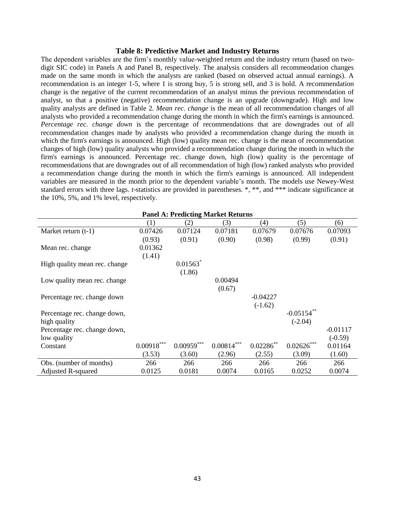### **Table 8: Predictive Market and Industry Returns**

The dependent variables are the firm's monthly value-weighted return and the industry return (based on twodigit SIC code) in Panels A and Panel B, respectively. The analysis considers all recommendation changes made on the same month in which the analysts are ranked (based on observed actual annual earnings). A recommendation is an integer 1-5, where 1 is strong buy, 5 is strong sell, and 3 is hold. A recommendation change is the negative of the current recommendation of an analyst minus the previous recommendation of analyst, so that a positive (negative) recommendation change is an upgrade (downgrade). High and low quality analysts are defined in Table 2. *Mean rec. change* is the mean of all recommendation changes of all analysts who provided a recommendation change during the month in which the firm's earnings is announced. *Percentage rec. change down* is the percentage of recommendations that are downgrades out of all recommendation changes made by analysts who provided a recommendation change during the month in which the firm's earnings is announced. High (low) quality mean rec. change is the mean of recommendation changes of high (low) quality analysts who provided a recommendation change during the month in which the firm's earnings is announced. Percentage rec. change down, high (low) quality is the percentage of recommendations that are downgrades out of all recommendation of high (low) ranked analysts who provided a recommendation change during the month in which the firm's earnings is announced. All independent variables are measured in the month prior to the dependent variable's month. The models use Newey-West standard errors with three lags. *t*-statistics are provided in parentheses. \*, \*\*, and \*\*\* indicate significance at the 10%, 5%, and 1% level, respectively.

| <b>Panel A: Predicting Market Returns</b> |              |              |                   |                |               |            |  |  |  |
|-------------------------------------------|--------------|--------------|-------------------|----------------|---------------|------------|--|--|--|
|                                           | (1)          | (2)          | (3)               | (4)            | (5)           | (6)        |  |  |  |
| Market return $(t-1)$                     | 0.07426      | 0.07124      | 0.07181           | 0.07679        | 0.07676       | 0.07093    |  |  |  |
|                                           | (0.93)       | (0.91)       | (0.90)            | (0.98)         | (0.99)        | (0.91)     |  |  |  |
| Mean rec. change                          | 0.01362      |              |                   |                |               |            |  |  |  |
|                                           | (1.41)       |              |                   |                |               |            |  |  |  |
| High quality mean rec. change             |              | 0.01563      |                   |                |               |            |  |  |  |
|                                           |              | (1.86)       |                   |                |               |            |  |  |  |
| Low quality mean rec. change              |              |              | 0.00494           |                |               |            |  |  |  |
|                                           |              |              | (0.67)            |                |               |            |  |  |  |
| Percentage rec. change down               |              |              |                   | $-0.04227$     |               |            |  |  |  |
|                                           |              |              |                   | $(-1.62)$      |               |            |  |  |  |
| Percentage rec. change down,              |              |              |                   |                | $-0.05154$ ** |            |  |  |  |
| high quality                              |              |              |                   |                | $(-2.04)$     |            |  |  |  |
| Percentage rec. change down,              |              |              |                   |                |               | $-0.01117$ |  |  |  |
| low quality                               |              |              |                   |                |               | $(-0.59)$  |  |  |  |
| Constant                                  | $0.00918***$ | $0.00959***$ | $0.00814^{***}\,$ | $0.02286^{**}$ | $0.02626***$  | 0.01164    |  |  |  |
|                                           | (3.53)       | (3.60)       | (2.96)            | (2.55)         | (3.09)        | (1.60)     |  |  |  |
| Obs. (number of months)                   | 266          | 266          | 266               | 266            | 266           | 266        |  |  |  |
| Adjusted R-squared                        | 0.0125       | 0.0181       | 0.0074            | 0.0165         | 0.0252        | 0.0074     |  |  |  |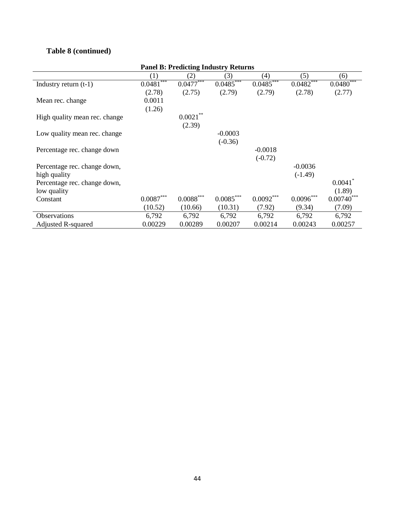# **Table 8 (continued)**

| <b>Panel B: Predicting Industry Returns</b> |                         |                           |             |             |             |              |  |  |  |
|---------------------------------------------|-------------------------|---------------------------|-------------|-------------|-------------|--------------|--|--|--|
|                                             | (1)                     | (2)                       | (3)         | (4)         | (5)         | (6)          |  |  |  |
| Industry return $(t-1)$                     | $0.0481***$             | $0.04\overline{77}^{***}$ | $0.0485***$ | $0.0485***$ | $0.0482***$ | $0.0480***$  |  |  |  |
|                                             | (2.78)                  | (2.75)                    | (2.79)      | (2.79)      | (2.78)      | (2.77)       |  |  |  |
| Mean rec. change                            | 0.0011                  |                           |             |             |             |              |  |  |  |
|                                             | (1.26)                  |                           |             |             |             |              |  |  |  |
| High quality mean rec. change               |                         | $0.0021***$               |             |             |             |              |  |  |  |
|                                             |                         | (2.39)                    |             |             |             |              |  |  |  |
| Low quality mean rec. change                |                         |                           | $-0.0003$   |             |             |              |  |  |  |
|                                             |                         |                           | $(-0.36)$   |             |             |              |  |  |  |
| Percentage rec. change down                 |                         |                           |             | $-0.0018$   |             |              |  |  |  |
|                                             |                         |                           |             | $(-0.72)$   |             |              |  |  |  |
| Percentage rec. change down,                |                         |                           |             |             | $-0.0036$   |              |  |  |  |
| high quality                                |                         |                           |             |             | $(-1.49)$   |              |  |  |  |
| Percentage rec. change down,                |                         |                           |             |             |             | 0.0041       |  |  |  |
| low quality                                 |                         |                           |             |             |             | (1.89)       |  |  |  |
| Constant                                    | $0.0087^{\ast\ast\ast}$ | $0.0088***$               | $0.0085***$ | $0.0092***$ | 0.0096      | $0.00740***$ |  |  |  |
|                                             | (10.52)                 | (10.66)                   | (10.31)     | (7.92)      | (9.34)      | (7.09)       |  |  |  |
| <b>Observations</b>                         | 6,792                   | 6,792                     | 6,792       | 6,792       | 6,792       | 6,792        |  |  |  |
| <b>Adjusted R-squared</b>                   | 0.00229                 | 0.00289                   | 0.00207     | 0.00214     | 0.00243     | 0.00257      |  |  |  |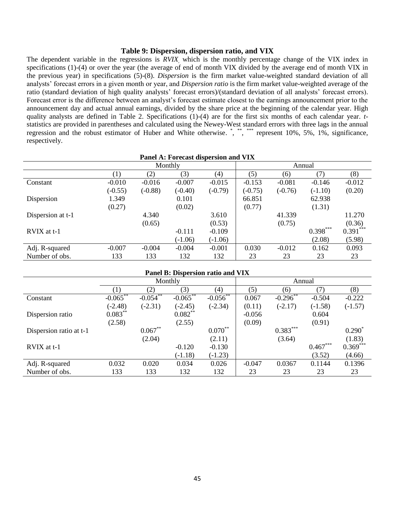### **Table 9: Dispersion, dispersion ratio, and VIX**

The dependent variable in the regressions is *RVIX,* which is the monthly percentage change of the VIX index in specifications (1)-(4) or over the year (the average of end of month VIX divided by the average end of month VIX in the previous year) in specifications (5)-(8). *Dispersion* is the firm market value-weighted standard deviation of all analysts' forecast errors in a given month or year, and *Dispersion ratio* is the firm market value-weighted average of the ratio (standard deviation of high quality analysts' forecast errors)/(standard deviation of all analysts' forecast errors). Forecast error is the difference between an analyst's forecast estimate closest to the earnings announcement prior to the announcement day and actual annual earnings, divided by the share price at the beginning of the calendar year. High quality analysts are defined in Table 2. Specifications (1)-(4) are for the first six months of each calendar year. *t*statistics are provided in parentheses and calculated using the Newey-West standard errors with three lags in the annual regression and the robust estimator of Huber and White otherwise. \*, \*\*, \*\*\* represent 10%, 5%, 1%, significance, respectively.

|                   | Panel A: Forecast dispersion and VIX |           |           |           |           |           |            |            |  |  |
|-------------------|--------------------------------------|-----------|-----------|-----------|-----------|-----------|------------|------------|--|--|
|                   |                                      |           | Monthly   |           |           |           | Annual     |            |  |  |
|                   | $\left(1\right)$                     | (2)       | (3)       | (4)       | (5)       | (6)       | (7)        | (8)        |  |  |
| Constant          | $-0.010$                             | $-0.016$  | $-0.007$  | $-0.015$  | $-0.153$  | $-0.081$  | $-0.146$   | $-0.012$   |  |  |
|                   | $(-0.55)$                            | $(-0.88)$ | $(-0.40)$ | $(-0.79)$ | $(-0.75)$ | $(-0.76)$ | $(-1.10)$  | (0.20)     |  |  |
| Dispersion        | 1.349                                |           | 0.101     |           | 66.851    |           | 62.938     |            |  |  |
|                   | (0.27)                               |           | (0.02)    |           | (0.77)    |           | (1.31)     |            |  |  |
| Dispersion at t-1 |                                      | 4.340     |           | 3.610     |           | 41.339    |            | 11.270     |  |  |
|                   |                                      | (0.65)    |           | (0.53)    |           | (0.75)    |            | (0.36)     |  |  |
| RVIX at t-1       |                                      |           | $-0.111$  | $-0.109$  |           |           | $0.398***$ | $0.391***$ |  |  |
|                   |                                      |           | $(-1.06)$ | $(-1.06)$ |           |           | (2.08)     | (5.98)     |  |  |
| Adj. R-squared    | $-0.007$                             | $-0.004$  | $-0.004$  | $-0.001$  | 0.030     | $-0.012$  | 0.162      | 0.093      |  |  |
| Number of obs.    | 133                                  | 133       | 132       | 132       | 23        | 23        | 23         | 23         |  |  |
|                   |                                      |           |           |           |           |           |            |            |  |  |

| Panel B: Dispersion ratio and VIX |             |             |             |             |          |             |            |            |  |
|-----------------------------------|-------------|-------------|-------------|-------------|----------|-------------|------------|------------|--|
|                                   | Monthly     |             |             |             | Annual   |             |            |            |  |
|                                   |             | (2)         | (3)         | (4)         | (5)      | (6)         | (7)        | (8)        |  |
| Constant                          | $-0.065$ ** | $-0.054$ ** | $-0.065$ ** | $-0.056$ ** | 0.067    | $-0.296$ ** | $-0.504$   | $-0.222$   |  |
|                                   | $(-2.48)$   | $(-2.31)$   | $(-2.45)$   | $(-2.34)$   | (0.11)   | $(-2.17)$   | $(-1.58)$  | $(-1.57)$  |  |
| Dispersion ratio                  | $0.083***$  |             | $0.082***$  |             | $-0.056$ |             | 0.604      |            |  |
|                                   | (2.58)      |             | (2.55)      |             | (0.09)   |             | (0.91)     |            |  |
| Dispersion ratio at t-1           |             | $0.067**$   |             | $0.070**$   |          | $0.383***$  |            | $0.290*$   |  |
|                                   |             | (2.04)      |             | (2.11)      |          | (3.64)      |            | (1.83)     |  |
| RVIX at t-1                       |             |             | $-0.120$    | $-0.130$    |          |             | $0.467***$ | $0.369***$ |  |
|                                   |             |             | $(-1.18)$   | $(-1.23)$   |          |             | (3.52)     | (4.66)     |  |
| Adj. R-squared                    | 0.032       | 0.020       | 0.034       | 0.026       | $-0.047$ | 0.0367      | 0.1144     | 0.1396     |  |
| Number of obs.                    | 133         | 133         | 132         | 132         | 23       | 23          | 23         | 23         |  |